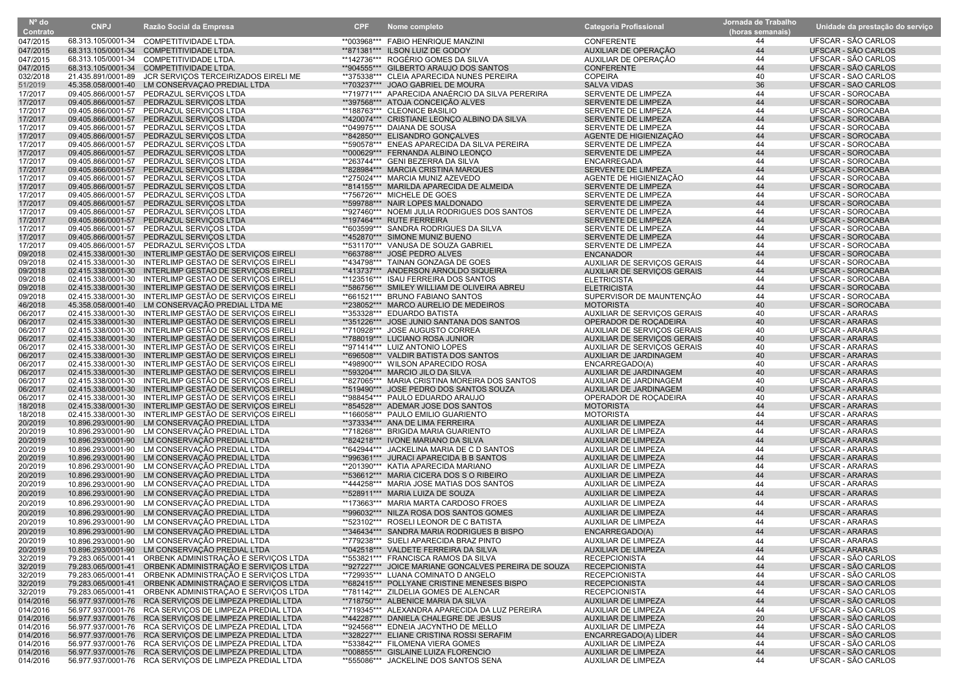| $No$ do<br>Contrato  | <b>CNPJ</b>        | Razão Social da Empresa                                                          | <b>CPF</b> | Nome completo                                                                       | <b>Categoria Profissional</b>       | Jornada de Trabalho<br>(horas semanais) | Unidade da prestação do serviço |
|----------------------|--------------------|----------------------------------------------------------------------------------|------------|-------------------------------------------------------------------------------------|-------------------------------------|-----------------------------------------|---------------------------------|
| 047/2015             |                    | 68.313.105/0001-34 COMPETITIVIDADE LTDA.                                         |            | **003968*** FABIO HENRIQUE MANZINI                                                  | <b>CONFERENTE</b>                   | 44                                      | UFSCAR - SÃO CARLOS             |
| 047/2015             |                    | 68.313.105/0001-34 COMPETITIVIDADE LTDA.                                         |            | **871381*** ILSON LUIZ DE GODOY                                                     | AUXILIAR DE OPERAÇÃO                | 44                                      | UFSCAR - SÃO CARLOS             |
| 047/2015             |                    | 68.313.105/0001-34 COMPETITIVIDADE LTDA.                                         |            | **142736*** ROGÉRIO GOMES DA SILVA                                                  | AUXILIAR DE OPERAÇÃO                | 44                                      | UFSCAR - SÃO CARLOS             |
|                      |                    |                                                                                  |            |                                                                                     |                                     | 44                                      | UFSCAR - SÃO CARLOS             |
| 047/2015<br>032/2018 | 21.435.891/0001-89 | 68.313.105/0001-34 COMPETITIVIDADE LTDA.<br>JCR SERVIÇOS TERCEIRIZADOS EIRELI ME |            | **904555*** GILBERTO ARAUJO DOS SANTOS<br>**375338*** CLEIA APARECIDA NUNES PEREIRA | <b>CONFERENTE</b><br><b>COPEIRA</b> | 40                                      | UFSCAR - SÃO CARLOS             |
| 51/2019              |                    | 45.358.058/0001-40 LM CONSERVAÇÃO PREDIAL LTDA                                   |            | **703237*** JOAO GABRIEL DE MOURA                                                   | <b>SALVA VIDAS</b>                  | 36                                      | UFSCAR - SÃO CARLOS             |
| 17/2017              |                    | 09.405.866/0001-57 PEDRAZUL SERVIÇOS LTDA                                        |            | **719771*** APARECIDA ANAÉRCIO DA SILVA PERERIRA                                    | SERVENTE DE LIMPEZA                 | 44                                      | UFSCAR - SOROCABA               |
| 17/2017              |                    | 09.405.866/0001-57 PEDRAZUL SERVIÇOS LTDA                                        |            | **397568*** ATOJA CONCEIÇÃO ALVES                                                   | SERVENTE DE LIMPEZA                 | 44                                      | UFSCAR - SOROCABA               |
| 17/2017              |                    | 09.405.866/0001-57 PEDRAZUL SERVIÇOS LTDA                                        |            | **188763*** CLEONICE BASILIO                                                        | SERVENTE DE LIMPEZA                 | 44                                      | UFSCAR - SOROCABA               |
| 17/2017              |                    | 09.405.866/0001-57 PEDRAZUL SERVIÇOS LTDA                                        |            | **420074*** CRISTIANE LEONCO ALBINO DA SILVA                                        | SERVENTE DE LIMPEZA                 | 44                                      | <b>UFSCAR - SOROCABA</b>        |
| 17/2017              |                    | 09.405.866/0001-57 PEDRAZUL SERVIÇOS LTDA                                        |            | **049975*** DAIANA DE SOUSA                                                         | SERVENTE DE LIMPEZA                 | 44                                      | UFSCAR - SOROCABA               |
| 17/2017              |                    | 09.405.866/0001-57 PEDRAZUL SERVICOS LTDA                                        |            | **842850*** ELISANDRO GONCALVES                                                     | AGENTE DE HIGIENIZAÇÃO              | 44                                      | <b>UFSCAR - SOROCABA</b>        |
| 17/2017              |                    | 09.405.866/0001-57 PEDRAZUL SERVICOS LTDA                                        |            | **590578*** ENEAS APARECIDA DA SILVA PEREIRA                                        | SERVENTE DE LIMPEZA                 | 44                                      | UFSCAR - SOROCABA               |
| 17/2017              |                    | 09.405.866/0001-57 PEDRAZUL SERVIÇOS LTDA                                        |            | **000629*** FERNANDA ALBINO LEONÇO                                                  | SERVENTE DE LIMPEZA                 | 44                                      | UFSCAR - SOROCABA               |
| 17/2017              |                    | 09.405.866/0001-57 PEDRAZUL SERVIÇOS LTDA                                        |            | **263744*** GENI BEZERRA DA SILVA                                                   | ENCARREGADA                         | 44                                      | UFSCAR - SOROCABA               |
| 17/2017              |                    | 09.405.866/0001-57 PEDRAZUL SERVIÇOS LTDA                                        |            | **828984*** MARCIA CRISTINA MARQUES                                                 | SERVENTE DE LIMPEZA                 | 44                                      | UFSCAR - SOROCABA               |
| 17/2017              |                    | 09.405.866/0001-57 PEDRAZUL SERVICOS LTDA                                        |            | **275024*** MARCIA MUNIZ AZEVEDO                                                    | AGENTE DE HIGIENIZAÇÃO              | 44                                      | UFSCAR - SOROCABA               |
| 17/2017              |                    | 09.405.866/0001-57 PEDRAZUL SERVICOS LTDA                                        |            | **814155*** MARILDA APARECIDA DE ALMEIDA                                            | SERVENTE DE LIMPEZA                 | 44                                      | <b>UFSCAR - SOROCABA</b>        |
| 17/2017              |                    | 09.405.866/0001-57 PEDRAZUL SERVIÇOS LTDA                                        |            | **756726*** MICHELE DE GOES                                                         | SERVENTE DE LIMPEZA                 | 44                                      | UFSCAR - SOROCABA               |
| 17/2017              |                    | 09.405.866/0001-57 PEDRAZUL SERVICOS LTDA                                        |            | **599788*** NAIR LOPES MALDONADO                                                    | SERVENTE DE LIMPEZA                 | 44                                      | <b>UFSCAR - SOROCABA</b>        |
| 17/2017              |                    | 09.405.866/0001-57 PEDRAZUL SERVIÇOS LTDA                                        |            | **927460*** NOEMI JULIA RODRIGUES DOS SANTOS                                        | SERVENTE DE LIMPEZA                 | 44                                      | UFSCAR - SOROCABA               |
| 17/2017              |                    | 09.405.866/0001-57 PEDRAZUL SERVIÇOS LTDA                                        |            | **197464*** RUTE FERREIRA                                                           | SERVENTE DE LIMPEZA                 | 44                                      | UFSCAR - SOROCABA               |
| 17/2017              |                    | 09.405.866/0001-57 PEDRAZUL SERVIÇOS LTDA                                        |            | **603599*** SANDRA RODRIGUES DA SILVA                                               | SERVENTE DE LIMPEZA                 | 44                                      | UFSCAR - SOROCABA               |
| 17/2017              |                    | 09.405.866/0001-57 PEDRAZUL SERVIÇOS LTDA                                        |            | **452870*** SIMONE MUNIZ BUENO                                                      | SERVENTE DE LIMPEZA                 | 44                                      | UFSCAR - SOROCABA               |
| 17/2017              |                    | 09.405.866/0001-57 PEDRAZUL SERVIÇOS LTDA                                        |            | **531170*** VANUSA DE SOUZA GABRIEL                                                 | SERVENTE DE LIMPEZA                 | 44                                      | UFSCAR - SOROCABA               |
| 09/2018              |                    | 02.415.338/0001-30 INTERLIMP GESTÃO DE SERVIÇOS EIRELI                           |            | **663788***   JOSÉ PEDRO ALVES                                                      | <b>ENCANADOR</b>                    | 44                                      | <b>UFSCAR - SOROCABA</b>        |
| 09/2018              |                    | 02.415.338/0001-30 INTERLIMP GESTÃO DE SERVIÇOS EIREL                            |            | **434798*** TAINAN GONZAGA DE GOES                                                  | AUXILIAR DE SERVICOS GERAIS         | 44                                      | <b>UFSCAR - SOROCABA</b>        |
| 09/2018              |                    | 02.415.338/0001-30 INTERLIMP GESTÃO DE SERVIÇOS EIRELI                           |            | **413737*** ANDERSON ARNOLDO SIQUEIRA                                               | AUXILIAR DE SERVIÇOS GERAIS         | 44                                      | UFSCAR - SOROCABA               |
| 09/2018              |                    | 02.415.338/0001-30 INTERLIMP GESTÃO DE SERVIÇOS EIREL                            |            | **123516*** ISAU FERREIRA DOS SANTOS                                                | <b>ELETRICISTA</b>                  | 44                                      | <b>UFSCAR - SOROCABA</b>        |
| 09/2018              |                    | 02.415.338/0001-30 INTERLIMP GESTÃO DE SERVIÇOS EIRELI                           |            | **586756*** SMILEY WILLIAM DE OLIVEIRA ABREU                                        | <b>ELETRICISTA</b>                  | 44                                      | <b>UFSCAR - SOROCABA</b>        |
| 09/2018              |                    | 02.415.338/0001-30 INTERLIMP GESTÃO DE SERVIÇOS EIRELI                           |            | **661521*** BRUNO FABIANO SANTOS                                                    | SUPERVISOR DE MAUNTENÇÃO            | 44                                      | UFSCAR - SOROCABA               |
| 46/2018              |                    | 45.358.058/0001-40 LM CONSERVAÇÃO PREDIAL LTDA ME                                |            | **238052*** MARCO AURELIO DE MEDEIROS                                               | <b>MOTORISTA</b>                    | 40                                      | UFSCAR - SOROCABA               |
| 06/2017              |                    | 02.415.338/0001-30 INTERLIMP GESTÃO DE SERVIÇOS EIREL                            |            | **353328*** EDUARDO BATISTA                                                         | AUXILIAR DE SERVIÇOS GERAIS         | 40                                      | <b>UFSCAR - ARARAS</b>          |
| 06/2017              |                    | 02.415.338/0001-30 INTERLIMP GESTÃO DE SERVIÇOS EIREL                            |            | **351226*** JOSE JUNIO SANTANA DOS SANTOS                                           | OPERADOR DE ROÇADEIRA               | 40                                      | <b>UFSCAR - ARARAS</b>          |
| 06/2017              |                    | 02.415.338/0001-30 INTERLIMP GESTÃO DE SERVIÇOS EIRELI                           |            | **710928*** JOSE AUGUSTO CORREA                                                     | AUXILIAR DE SERVIÇOS GERAIS         | 40                                      | <b>UFSCAR - ARARAS</b>          |
| 06/2017              |                    | 02.415.338/0001-30 INTERLIMP GESTÃO DE SERVIÇOS EIREL                            |            | **788019*** LUCIANO ROSA JUNIOR                                                     | AUXILIAR DE SERVIÇOS GERAIS         | 40                                      | <b>UFSCAR - ARARAS</b>          |
| 06/2017              |                    | 02.415.338/0001-30 INTERLIMP GESTÃO DE SERVICOS EIRELI                           |            | **971414*** LUIZ ANTONIO LOPES                                                      | AUXILIAR DE SERVIÇOS GERAIS         | 40                                      | <b>UFSCAR - ARARAS</b>          |
| 06/2017              |                    | 02.415.338/0001-30 INTERLIMP GESTÃO DE SERVIÇOS EIRELI                           |            | **696508*** VALDIR BATISTA DOS SANTOS                                               | AUXILIAR DE JARDINAGEM              | 40                                      | <b>UFSCAR - ARARAS</b>          |
| 06/2017              |                    | 02.415.338/0001-30 INTERLIMP GESTÃO DE SERVIÇOS EIRELI                           |            | **498900*** WILSON APARECIDO ROSA                                                   | ENCARREGADO(A)                      | 40                                      | <b>UFSCAR - ARARAS</b>          |
| 06/2017              |                    | 02.415.338/0001-30 INTERLIMP GESTÃO DE SERVIÇOS EIRELI                           |            | **593204*** MARCIO JILO DA SILVA                                                    | AUXILIAR DE JARDINAGEM              | 40                                      | <b>UFSCAR - ARARAS</b>          |
| 06/2017              |                    | 02.415.338/0001-30 INTERLIMP GESTÃO DE SERVIÇOS EIREL                            |            | **827065*** MARIA CRISTINA MOREIRA DOS SANTOS                                       | AUXILIAR DE JARDINAGEM              | 40                                      | <b>UFSCAR - ARARAS</b>          |
| 06/2017              |                    | 02.415.338/0001-30 INTERLIMP GESTÃO DE SERVIÇOS EIRELI                           |            | **519490*** JOSE PEDRO DOS SANTOS SOUZA                                             | AUXILIAR DE JARDINAGEM              | 40                                      | <b>UFSCAR - ARARAS</b>          |
| 06/2017              |                    | 02.415.338/0001-30 INTERLIMP GESTÃO DE SERVIÇOS EIREL                            |            | **988454*** PAULO EDUARDO ARAUJO                                                    | OPERADOR DE ROÇADEIRA               | 40                                      | UFSCAR - ARARAS                 |
| 18/2018              |                    | 02.415.338/0001-30 INTERLIMP GESTÃO DE SERVIÇOS EIRELI                           |            | **854528*** ADEMAR JOSE DOS SANTOS                                                  | <b>MOTORISTA</b>                    | 44                                      | <b>UFSCAR - ARARAS</b>          |
| 18/2018              |                    | 02.415.338/0001-30 INTERLIMP GESTÃO DE SERVIÇOS EIRELI                           |            | **166058*** PAULO EMILIO GUARIENTO                                                  | <b>MOTORISTA</b>                    | 44                                      | <b>UFSCAR - ARARAS</b>          |
| 20/2019              |                    | 10.896.293/0001-90 LM CONSERVAÇÃO PREDIAL LTDA                                   |            | **373334*** ANA DE LIMA FERREIRA                                                    | AUXILIAR DE LIMPEZA                 | 44                                      | <b>UFSCAR - ARARAS</b>          |
| 20/2019              |                    | 10.896.293/0001-90 LM CONSERVAÇÃO PREDIAL LTDA                                   |            | **718268*** BRIGIDA MARIA GUARIENTO                                                 | AUXILIAR DE LIMPEZA                 | 44                                      | <b>UFSCAR - ARARAS</b>          |
| 20/2019              |                    | 10.896.293/0001-90 LM CONSERVAÇÃO PREDIAL LTDA                                   |            | **824218*** IVONE MARIANO DA SILVA                                                  | AUXILIAR DE LIMPEZA                 | 44                                      | <b>UFSCAR - ARARAS</b>          |
| 20/2019              |                    | 10.896.293/0001-90 LM CONSERVAÇÃO PREDIAL LTDA                                   |            | **642944*** JACKELINA MARIA DE C D SANTOS                                           | AUXILIAR DE LIMPEZA                 | 44                                      | <b>UFSCAR - ARARAS</b>          |
| 20/2019              |                    | 10.896.293/0001-90 LM CONSERVAÇÃO PREDIAL LTDA                                   |            | **996361*** JURACI APARECIDA B B SANTOS                                             | AUXILIAR DE LIMPEZA                 | 44                                      | <b>UFSCAR - ARARAS</b>          |
| 20/2019              |                    | 10.896.293/0001-90 LM CONSERVAÇÃO PREDIAL LTDA                                   |            | **201390*** KATIA APARECIDA MARIANO                                                 | AUXILIAR DE LIMPEZA                 | 44                                      | UFSCAR - ARARAS                 |
| 20/2019              |                    | 10.896.293/0001-90 LM CONSERVAÇÃO PREDIAL LTDA                                   |            | **536612*** MARIA CICERA DOS S O RIBEIRO                                            | <b>AUXILIAR DE LIMPEZA</b>          | 44                                      | <b>UFSCAR - ARARAS</b>          |
| 20/2019              |                    | 10.896.293/0001-90 LM CONSERVAÇÃO PREDIAL LTDA                                   |            | **444258*** MARIA JOSE MATIAS DOS SANTOS                                            | AUXILIAR DE LIMPEZA                 | 44                                      | <b>UFSCAR - ARARAS</b>          |
| 20/2019              |                    | 10.896.293/0001-90 LM CONSERVAÇÃO PREDIAL LTDA                                   |            | **528911*** MARIA LUIZA DE SOUZA                                                    | <b>AUXILIAR DE LIMPEZA</b>          | 44                                      | <b>UFSCAR - ARARAS</b>          |
| 20/2019              |                    | 10.896.293/0001-90 LM CONSERVAÇÃO PREDIAL LTDA                                   |            | **173663*** MARIA MARTA CARDOSO FROES                                               | AUXILIAR DE LIMPEZA                 | 44                                      | UFSCAR - ARARAS                 |
| 20/2019              |                    | 10.896.293/0001-90 LM CONSERVAÇÃO PREDIAL LTDA                                   |            | **996032*** NILZA ROSA DOS SANTOS GOMES                                             | AUXILIAR DE LIMPEZA                 | 44                                      | <b>UFSCAR - ARARAS</b>          |
| 20/2019              |                    | 10.896.293/0001-90 LM CONSERVAÇÃO PREDIAL LTDA                                   |            | **523102*** ROSELI LEONOR DE C BATISTA                                              | AUXILIAR DE LIMPEZA                 | 44                                      | <b>UFSCAR - ARARAS</b>          |
| 20/2019              |                    | 10.896.293/0001-90 LM CONSERVACÃO PREDIAL LTDA                                   |            | **346434*** SANDRA MARIA RODRIGUES B BISPO                                          | ENCARREGADO(A)                      | 44                                      | <b>UFSCAR - ARARAS</b>          |
| 20/2019              |                    | 10.896.293/0001-90 LM CONSERVAÇÃO PREDIAL LTDA                                   |            | **779238*** SUELI APARECIDA BRAZ PINTO                                              | AUXILIAR DE LIMPEZA                 | 44                                      | <b>UFSCAR - ARARAS</b>          |
| 20/2019              |                    | 10.896.293/0001-90 LM CONSERVAÇÃO PREDIAL LTDA                                   |            | **042518*** VALDETE FERREIRA DA SILVA                                               | <b>AUXILIAR DE LIMPEZA</b>          | 44                                      | <b>UFSCAR - ARARAS</b>          |
| 32/2019              |                    | 79.283.065/0001-41 ORBENK ADMINISTRAÇÃO E SERVIÇOS LTDA                          |            | **553821*** FRANCISCA RAMOS DA SILVA                                                | <b>RECEPCIONISTA</b>                | 44                                      | UFSCAR - SÃO CARLOS             |
| 32/2019              |                    | 79.283.065/0001-41 ORBENK ADMINISTRAÇÃO E SERVIÇOS LTDA                          |            | **927227*** JOICE MARIANE GONCALVES PEREIRA DE SOUZA                                | <b>RECEPCIONISTA</b>                | 44                                      | UFSCAR - SÃO CARLOS             |
| 32/2019              |                    | 79.283.065/0001-41 ORBENK ADMINISTRAÇÃO E SERVIÇOS LTDA                          |            | **729935*** LUANA COMINATO D ANGELO                                                 | <b>RECEPCIONISTA</b>                | 44                                      | UFSCAR - SÃO CARLOS             |
| 32/2019              |                    | 79.283.065/0001-41 ORBENK ADMINISTRAÇÃO E SERVIÇOS LTDA                          |            | **682415*** POLLYANE CRISTINE MENESES BISPO                                         | <b>RECEPCIONISTA</b>                | 44                                      | UFSCAR - SÃO CARLOS             |
| 32/2019              |                    | 79.283.065/0001-41 ORBENK ADMINISTRAÇÃO E SERVIÇOS LTDA                          |            | **781142*** ZILDELIA GOMES DE ALENCAR                                               | <b>RECEPCIONISTA</b>                | 44                                      | UFSCAR - SÃO CARLOS             |
| 014/2016             |                    | 56.977.937/0001-76 RCA SERVICOS DE LIMPEZA PREDIAL LTDA                          |            | **718750*** ALBENICE MARIA DA SILVA                                                 | AUXILIAR DE LIMPEZA                 | 44                                      | UFSCAR - SÃO CARLOS             |
| 014/2016             |                    | 56.977.937/0001-76 RCA SERVICOS DE LIMPEZA PREDIAL LTDA                          |            | **719345*** ALEXANDRA APARECIDA DA LUZ PEREIRA                                      | AUXILIAR DE LIMPEZA                 | 44                                      | UFSCAR - SÃO CARLOS             |
| 014/2016             |                    | 56.977.937/0001-76 RCA SERVICOS DE LIMPEZA PREDIAL LTDA                          |            | **442287*** DANIELA CHALEGRE DE JESUS                                               | <b>AUXILIAR DE LIMPEZA</b>          | 20                                      | UFSCAR - SÃO CARLOS             |
| 014/2016             |                    | 56.977.937/0001-76 RCA SERVIÇOS DE LIMPEZA PREDIAL LTDA                          |            | **924568*** EDNEIA JACYNTHO DE MELLO                                                | AUXILIAR DE LIMPEZA                 | 44                                      | UFSCAR - SÃO CARLOS             |
| 014/2016             |                    | 56.977.937/0001-76 RCA SERVICOS DE LIMPEZA PREDIAL LTDA                          |            | **328227*** ELIANE CRISTINA ROSSI SERAFIM                                           | ENCARREGADO(A) LIDER                | 44                                      | UFSCAR - SÃO CARLOS             |
| 014/2016             |                    | 56.977.937/0001-76 RCA SERVIÇOS DE LIMPEZA PREDIAL LTDA                          |            | **533842*** FILOMENA VIERA GOMES                                                    | AUXILIAR DE LIMPEZA                 | 44                                      | UFSCAR - SÃO CARLOS             |
| 014/2016             |                    | 56.977.937/0001-76 RCA SERVICOS DE LIMPEZA PREDIAL LTDA                          |            | **008855*** GISLAINE LUIZA FLORENCIO                                                | AUXILIAR DE LIMPEZA                 | 44                                      | UFSCAR - SÃO CARLOS             |
| 014/2016             |                    | 56.977.937/0001-76 RCA SERVIÇOS DE LIMPEZA PREDIAL LTDA                          |            | **555086*** JACKELINE DOS SANTOS SENA                                               | AUXILIAR DE LIMPEZA                 | 44                                      | UFSCAR - SÃO CARLOS             |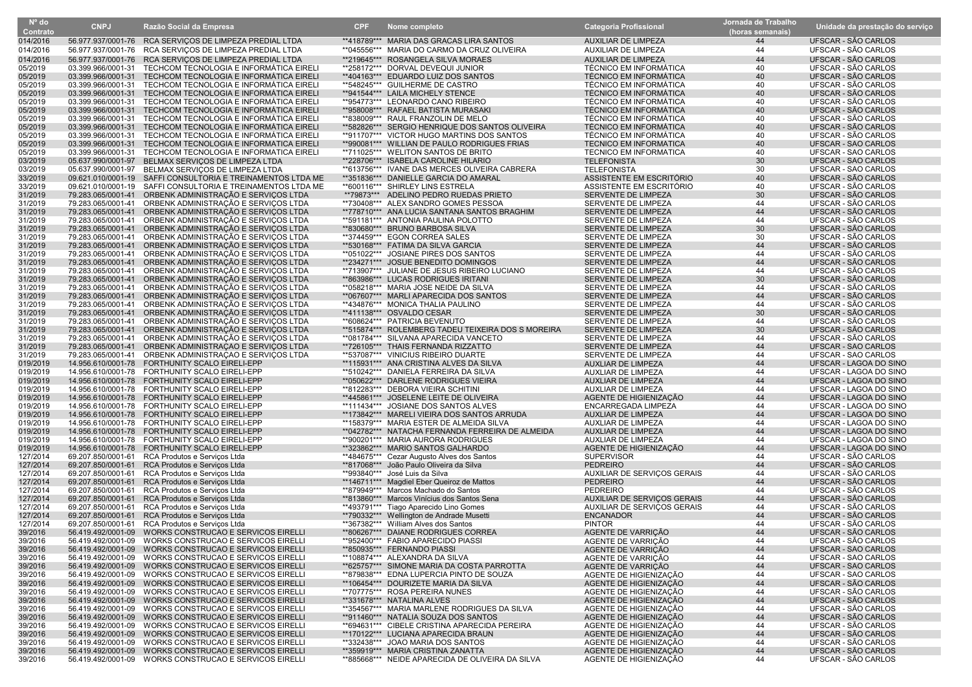| $No$ do              |                    |                                                                                                    |            |                                                                                    |                                                 | Jornada de Trabalho |                                            |
|----------------------|--------------------|----------------------------------------------------------------------------------------------------|------------|------------------------------------------------------------------------------------|-------------------------------------------------|---------------------|--------------------------------------------|
| Contrato             | <b>CNPJ</b>        | Razão Social da Empresa                                                                            | <b>CPF</b> | Nome completo                                                                      | <b>Categoria Profissional</b>                   | (horas semanais)    | Unidade da prestação do serviço            |
| 014/2016             |                    | 56.977.937/0001-76 RCA SERVIÇOS DE LIMPEZA PREDIAL LTDA                                            |            | **418789*** MARIA DAS GRACAS LIRA SANTOS                                           | <b>AUXILIAR DE LIMPEZA</b>                      | 44                  | UFSCAR - SÃO CARLOS                        |
| 014/2016             | 56.977.937/0001-76 | RCA SERVIÇOS DE LIMPEZA PREDIAL LTDA                                                               |            | **045556*** MARIA DO CARMO DA CRUZ OLIVEIRA                                        | AUXILIAR DE LIMPEZA                             | 44                  | UFSCAR - SÃO CARLOS                        |
| 014/2016             |                    | 56.977.937/0001-76 RCA SERVIÇOS DE LIMPEZA PREDIAL LTDA                                            |            | **219645*** ROSANGELA SILVA MORAES                                                 | <b>AUXILIAR DE LIMPEZA</b>                      | 44                  | UFSCAR - SÃO CARLOS                        |
| 05/2019              | 03.399.966/0001-31 | TECHCOM TECNOLOGIA E INFORMATICA EIRELI                                                            |            | **258172*** DORVAL DEVEQUI JUNIOR                                                  | <b>TÉCNICO EM INFORMATICA</b>                   | 40                  | UFSCAR - SÃO CARLOS                        |
| 05/2019              |                    | 03.399.966/0001-31 TECHCOM TECNOLOGIA E INFORMATICA EIRELI                                         |            | **404163*** EDUARDO LUIZ DOS SANTOS                                                | <b>TÉCNICO EM INFORMATICA</b>                   | 40                  | UFSCAR - SÃO CARLOS                        |
| 05/2019              | 03.399.966/0001-31 | TECHCOM TECNOLOGIA E INFORMÁTICA EIREL                                                             |            | **548245*** GUILHERME DE CASTRO                                                    | <b>TÉCNICO EM INFORMATICA</b>                   | 40                  | UFSCAR - SÃO CARLOS                        |
| 05/2019              |                    | 03.399.966/0001-31 TECHCOM TECNOLOGIA E INFORMATICA EIRELI                                         |            | **941544*** LAILA MICHELY STENCE                                                   | <b>TÉCNICO EM INFORMATICA</b>                   | 40                  | UFSCAR - SÃO CARLOS                        |
| 05/2019              | 03.399.966/0001-31 | TECHCOM TECNOLOGIA E INFORMÁTICA EIRELI                                                            |            | **954773*** LEONARDO CANO RIBEIRO                                                  | <b>TÉCNICO EM INFORMATICA</b>                   | 40                  | UFSCAR - SÃO CARLOS                        |
| 05/2019              | 03.399.966/0001-31 | TECHCOM TECNOLOGIA E INFORMATICA EIRELI                                                            |            | **958008*** RAFAEL BATISTA MURASAKI                                                | <b>TÉCNICO EM INFORMATICA</b>                   | 40                  | UFSCAR - SÃO CARLOS                        |
| 05/2019              | 03.399.966/0001-31 | TECHCOM TECNOLOGIA E INFORMÁTICA EIRELI                                                            |            | **838009*** RAUL FRANZOLIN DE MELO                                                 | <b>TÉCNICO EM INFORMATICA</b>                   | 40                  | UFSCAR - SÃO CARLOS                        |
| 05/2019              |                    | 03.399.966/0001-31 TECHCOM TECNOLOGIA E INFORMATICA EIRELI                                         |            | **582826*** SERGIO HENRIQUE DOS SANTOS OLIVEIRA                                    | <b>TÉCNICO EM INFORMATICA</b>                   | 40                  | UFSCAR - SÃO CARLOS                        |
| 05/2019              |                    | 03.399.966/0001-31 TECHCOM TECNOLOGIA E INFORMÁTICA EIRELI                                         |            | **911707*** VICTOR HUGO MARTINS DOS SANTOS                                         | <b>TÉCNICO EM INFORMÁTICA</b>                   | 40                  | UFSCAR - SÃO CARLOS                        |
| 05/2019              |                    | 03.399.966/0001-31 TECHCOM TECNOLOGIA E INFORMÁTICA EIRELI                                         |            | **990081*** WILLIAN DE PAULO RODRIGUES FRIAS                                       | <b>TÉCNICO EM INFORMATICA</b>                   | 40                  | UFSCAR - SÃO CARLOS                        |
| 05/2019              | 03.399.966/0001-31 | TECHCOM TECNOLOGIA E INFORMATICA EIRELI                                                            |            | **711025*** WELITON SANTOS DE BRITO                                                | <b>TÉCNICO EM INFORMATICA</b>                   | 40                  | UFSCAR - SÃO CARLOS                        |
| 03/2019              |                    | 05.637.990/0001-97 BELMAX SERVIÇOS DE LIMPEZA LTDA                                                 |            | **228706*** ISABELA CAROLINE HILARIO                                               | <b>TELEFONISTA</b>                              | 30                  | UFSCAR - SÃO CARLOS                        |
| 03/2019              |                    | 05.637.990/0001-97 BELMAX SERVICOS DE LIMPEZA LTDA                                                 |            | **613756*** IVANE DAS MERCES OLIVEIRA CABRERA                                      | <b>TELEFONISTA</b>                              | 30                  | UFSCAR - SÃO CARLOS                        |
| 33/2019              |                    | 09.621.010/0001-19 SAFFI CONSULTORIA E TREINAMENTOS LTDA ME                                        |            | **351836*** DANIELLE GARCIA DO AMARAL                                              | ASSISTENTE EM ESCRITÓRIO                        | 40                  | UFSCAR - SÃO CARLOS                        |
| 33/2019              | 09.621.010/0001-19 | SAFFI CONSULTORIA E TREINAMENTOS LTDA ME                                                           |            | **600116*** SHIRLEY LINS ESTRELA                                                   | ASSISTENTE EM ESCRITÓRIO                        | 40                  | UFSCAR - SÃO CARLOS                        |
| 31/2019              | 79.283.065/0001-41 | ORBENK ADMINISTRAÇÃO E SERVIÇOS LTDA                                                               | **79873*** | ADELINO PEDRO RUEDAS PRIETO                                                        | SERVENTE DE LIMPEZA                             | 30                  | UFSCAR - SÃO CARLOS                        |
| 31/2019              | 79.283.065/0001-41 | ORBENK ADMINISTRAÇÃO E SERVIÇOS LTDA                                                               |            | **730408*** ALEX SANDRO GOMES PESSOA                                               | SERVENTE DE LIMPEZA                             | 44                  | UFSCAR - SÃO CARLOS                        |
| 31/2019              |                    | 79.283.065/0001-41 ORBENK ADMINISTRAÇÃO E SERVIÇOS LTDA                                            |            | **778710*** ANA LUCIA SANTANA SANTOS BRAGHIM                                       | SERVENTE DE LIMPEZA                             | 44                  | UFSCAR - SÃO CARLOS                        |
| 31/2019              |                    | 79.283.065/0001-41 ORBENK ADMINISTRAÇÃO E SERVIÇOS LTDA                                            |            | **591181*** ANTONIA PAULINA POLOTTO                                                | SERVENTE DE LIMPEZA                             | 44                  | UFSCAR - SÃO CARLOS                        |
| 31/2019              |                    | 79.283.065/0001-41 ORBENK ADMINISTRAÇÃO E SERVIÇOS LTDA                                            |            | **830680*** BRUNO BARBOSA SILVA                                                    | SERVENTE DE LIMPEZA                             | 30                  | UFSCAR - SÃO CARLOS                        |
| 31/2019              | 79.283.065/0001-41 | ORBENK ADMINISTRAÇÃO E SERVIÇOS LTDA                                                               |            | **374459*** EGON CORREA SALES                                                      | SERVENTE DE LIMPEZA                             | 30                  | UFSCAR - SÃO CARLOS                        |
| 31/2019              |                    | 79.283.065/0001-41 ORBENK ADMINISTRAÇÃO E SERVIÇOS LTDA                                            |            | **530168*** FATIMA DA SILVA GARCIA                                                 | SERVENTE DE LIMPEZA                             | 44                  | UFSCAR - SÃO CARLOS                        |
| 31/2019              |                    | 79.283.065/0001-41 ORBENK ADMINISTRAÇÃO E SERVIÇOS LTDA                                            |            | **051022*** JOSIANE PIRES DOS SANTOS                                               | SERVENTE DE LIMPEZA                             | 44                  | UFSCAR - SÃO CARLOS                        |
| 31/2019              |                    | 79.283.065/0001-41 ORBENK ADMINISTRAÇÃO E SERVIÇOS LTDA                                            |            | **234271*** JOSUE BENEDITO DOMINGOS                                                | SERVENTE DE LIMPEZA                             | 44                  | UFSCAR - SÃO CARLOS                        |
| 31/2019              | 79.283.065/0001-41 | ORBENK ADMINISTRAÇÃO E SERVIÇOS LTDA                                                               |            | **713907*** JULIANE DE JESUS RIBEIRO LUCIANO                                       | SERVENTE DE LIMPEZA                             | 44                  | UFSCAR - SÃO CARLOS                        |
| 31/2019              |                    | 79.283.065/0001-41 ORBENK ADMINISTRAÇÃO E SERVIÇOS LTDA                                            |            | **863986*** LUCAS RODRIGUES IRITANI                                                | SERVENTE DE LIMPEZA                             | 30                  | UFSCAR - SÃO CARLOS                        |
| 31/2019              |                    | 79.283.065/0001-41 ORBENK ADMINISTRAÇÃO E SERVIÇOS LTDA                                            |            | **058218*** MARIA JOSE NEIDE DA SILVA                                              | SERVENTE DE LIMPEZA                             | 44                  | UFSCAR - SÃO CARLOS                        |
| 31/2019              |                    | 79.283.065/0001-41 ORBENK ADMINISTRAÇÃO E SERVIÇOS LTDA                                            |            | **067607*** MARLI APARECIDA DOS SANTOS                                             | SERVENTE DE LIMPEZA                             | 44                  | UFSCAR - SÃO CARLOS                        |
| 31/2019              | 79.283.065/0001-41 | ORBENK ADMINISTRAÇÃO E SERVIÇOS LTDA                                                               |            | **434876*** MONICA THALIA PAULINO                                                  | SERVENTE DE LIMPEZA                             | 44                  | UFSCAR - SÃO CARLOS                        |
| 31/2019              | 79.283.065/0001-41 | ORBENK ADMINISTRAÇÃO E SERVIÇOS LTDA                                                               |            | **411138*** OSVALDO CESAR                                                          | SERVENTE DE LIMPEZA                             | 30                  | UFSCAR - SÃO CARLOS                        |
| 31/2019              | 79.283.065/0001-41 | ORBENK ADMINISTRAÇÃO E SERVIÇOS LTDA                                                               |            | **608624*** PATRICIA BEVENUTO                                                      | SERVENTE DE LIMPEZA                             | 44                  | UFSCAR - SÃO CARLOS                        |
| 31/2019              |                    | 79.283.065/0001-41 ORBENK ADMINISTRAÇÃO E SERVIÇOS LTDA                                            |            | **515874*** ROLEMBERG TADEU TEIXEIRA DOS S MOREIRA                                 | SERVENTE DE LIMPEZA                             | 30                  | UFSCAR - SÃO CARLOS                        |
| 31/2019              |                    | 79.283.065/0001-41 ORBENK ADMINISTRAÇÃO E SERVIÇOS LTDA                                            |            | **081784*** SILVANA APARECIDA VANCETO                                              | SERVENTE DE LIMPEZA                             | 44                  | UFSCAR - SÃO CARLOS                        |
| 31/2019              |                    | 79.283.065/0001-41 ORBENK ADMINISTRAÇÃO E SERVIÇOS LTDA                                            |            | **726105*** THAIS FERNANDA RIZZATTO                                                | SERVENTE DE LIMPEZA                             | 44                  | UFSCAR - SÃO CARLOS                        |
| 31/2019              | 79.283.065/0001-41 | ORBENK ADMINISTRAÇÃO E SERVIÇOS LTDA                                                               |            | **537087*** VINICIUS RIBEIRO DUARTE                                                | SERVENTE DE LIMPEZA                             | 44                  | UFSCAR - SÃO CARLOS                        |
| 019/2019             |                    | 14.956.610/0001-78 FORTHUNITY SCALO EIRELI-EPP                                                     |            | **115931*** ANA CRISTINA ALVES DA SILVA                                            | AUXLIAR DE LIMPEZA                              | 44                  | UFSCAR - LAGOA DO SINO                     |
| 019/2019             |                    | 14.956.610/0001-78 FORTHUNITY SCALO EIRELI-EPP                                                     |            | **510242*** DANIELA FERREIRA DA SILVA                                              | AUXLIAR DE LIMPEZA                              | 44                  | UFSCAR - LAGOA DO SINO                     |
| 019/2019             |                    | 14.956.610/0001-78 FORTHUNITY SCALO EIRELI-EPP                                                     |            | **050622*** DARLENE RODRIGUES VIEIRA                                               | AUXLIAR DE LIMPEZA                              | 44                  | UFSCAR - LAGOA DO SINO                     |
| 019/2019             | 14.956.610/0001-78 | FORTHUNITY SCALO EIRELI-EPP                                                                        |            | **812283*** DEBORA VIEIRA SCHITINI                                                 | <b>AUXLIAR DE LIMPEZA</b>                       | 44                  | UFSCAR - LAGOA DO SINO                     |
| 019/2019             |                    | 14.956.610/0001-78 FORTHUNITY SCALO EIRELI-EPP                                                     |            | **445861*** JOSELENE LEITE DE OLIVEIRA                                             | AGENTE DE HIGIENIZAÇÃO                          | 44                  | UFSCAR - LAGOA DO SINO                     |
| 019/2019             |                    | 14.956.610/0001-78 FORTHUNITY SCALO EIRELI-EPP                                                     |            | **111434*** JOSIANE DOS SANTOS ALVES                                               | ENCARREGADA LIMPEZA                             | 44                  | UFSCAR - LAGOA DO SINO                     |
| 019/2019             |                    | 14.956.610/0001-78 FORTHUNITY SCALO EIRELI-EPP                                                     |            | **173842*** MARELI VIEIRA DOS SANTOS ARRUDA                                        | <b>AUXLIAR DE LIMPEZA</b>                       | 44                  | UFSCAR - LAGOA DO SINO                     |
| 019/2019             |                    | 14.956.610/0001-78 FORTHUNITY SCALO EIRELI-EPP                                                     |            | **158379*** MARIA ESTER DE ALMEIDA SILVA                                           | AUXLIAR DE LIMPEZA                              | 44                  | UFSCAR - LAGOA DO SINO                     |
| 019/2019             |                    | 14.956.610/0001-78 FORTHUNITY SCALO EIRELI-EPP                                                     |            | **042782*** NATACHA FERNANDA FERREIRA DE ALMEIDA                                   | <b>AUXLIAR DE LIMPEZA</b>                       | 44                  | UFSCAR - LAGOA DO SINO                     |
| 019/2019             |                    | 14.956.610/0001-78 FORTHUNITY SCALO EIRELI-EPP                                                     |            | **900201*** MARIA AURORA RODRIGUES                                                 | <b>AUXLIAR DE LIMPEZA</b>                       | 44                  | UFSCAR - LAGOA DO SINO                     |
| 019/2019             |                    | 14.956.610/0001-78 FORTHUNITY SCALO EIRELI-EPP                                                     |            | **323862*** MARIO SANTOS GALHARDO                                                  | AGENTE DE HIGIENIZAÇÃO                          | 44                  | UFSCAR - LAGOA DO SINO                     |
| 127/2014             |                    | 69.207.850/0001-61 RCA Produtos e Serviços Ltda                                                    |            | **484675*** Cezar Augusto Alves dos Santos                                         | <b>SUPERVISOR</b>                               | 44                  | UFSCAR - SAO CARLOS                        |
| 127/2014             | 69.207.850/0001-61 | RCA Produtos e Serviços Ltda                                                                       |            | **817068*** João Paulo Oliveira da Silva                                           | <b>PEDREIRO</b>                                 | 44                  | UFSCAR - SÃO CARLOS<br>UFSCAR - SÃO CARLOS |
| 127/2014             |                    | 69.207.850/0001-61 RCA Produtos e Serviços Ltda                                                    |            | **993840*** José Luis da Silva                                                     | AUXILIAR DE SERVIÇOS GERAIS                     | 44                  |                                            |
| 127/2014             |                    | 69.207.850/0001-61 RCA Produtos e Serviços Ltda                                                    |            | **146711*** Magdiel Eber Queiroz de Mattos<br>**879949*** Marcos Machado do Santos | <b>PEDREIRO</b>                                 | 44<br>44            | UFSCAR - SÃO CARLOS<br>UFSCAR - SÃO CARLOS |
| 127/2014<br>127/2014 |                    | 69.207.850/0001-61 RCA Produtos e Serviços Ltda<br>69.207.850/0001-61 RCA Produtos e Serviços Ltda |            | **813860*** Marcos Vinícius dos Santos Sena                                        | PEDREIRO<br>AUXILIAR DE SERVIÇOS GERAIS         | 44                  | UFSCAR - SÃO CARLOS                        |
| 127/2014             |                    | 69.207.850/0001-61 RCA Produtos e Serviços Ltda                                                    |            | **493791*** Tiago Aparecido Lino Gomes                                             |                                                 | 44                  | UFSCAR - SÃO CARLOS                        |
| 127/2014             |                    | 69.207.850/0001-61 RCA Produtos e Serviços Ltda                                                    |            | **790332*** Wellington de Andrade Musetti                                          | AUXILIAR DE SERVIÇOS GERAIS<br><b>ENCANADOR</b> | 44                  | UFSCAR - SÃO CARLOS                        |
| 127/2014             |                    | 69.207.850/0001-61 RCA Produtos e Serviços Ltda                                                    |            | **367382*** William Alves dos Santos                                               | <b>PINTOR</b>                                   | 44                  | UFSCAR - SÃO CARLOS                        |
| 39/2016              |                    | 56.419.492/0001-09 WORKS CONSTRUCAO E SERVICOS EIRELLI                                             |            | **806267*** DAIANE RODRIGUES CORREA                                                | AGENTE DE VARRIÇÃO                              | 44                  | UFSCAR - SÃO CARLOS                        |
| 39/2016              |                    | 56.419.492/0001-09 WORKS CONSTRUCAO E SERVICOS EIRELLI                                             |            | **952400*** FABIO APARECIDO PIASSI                                                 | AGENTE DE VARRIÇÃO                              | 44                  | UFSCAR - SÃO CARLOS                        |
| 39/2016              |                    | 56.419.492/0001-09 WORKS CONSTRUCAO E SERVICOS EIRELLI                                             |            | **850935*** FERNANDO PIASSI                                                        | AGENTE DE VARRIÇÃO                              | 44                  | UFSCAR - SÃO CARLOS                        |
| 39/2016              |                    | 56.419.492/0001-09 WORKS CONSTRUCAO E SERVICOS EIRELLI                                             |            | **108874*** ALEXANDRA DA SILVA                                                     | AGENTE DE VARRIÇÃO                              | 44                  | UFSCAR - SÃO CARLOS                        |
| 39/2016              |                    | 56.419.492/0001-09 WORKS CONSTRUCAO E SERVICOS EIRELLI                                             |            | **625757*** SIMONE MARIA DA COSTA PARROTTA                                         | AGENTE DE VARRIÇÃO                              | 44                  | UFSCAR - SÃO CARLOS                        |
| 39/2016              |                    | 56.419.492/0001-09 WORKS CONSTRUCAO E SERVICOS EIRELLI                                             |            | **879838*** EDNA LUPERCIA PINTO DE SOUZA                                           | AGENTE DE HIGIENIZAÇÃO                          | 44                  | UFSCAR - SÃO CARLOS                        |
| 39/2016              |                    | 56.419.492/0001-09 WORKS CONSTRUCAO E SERVICOS EIRELLI                                             |            | **106454*** DOURIZETE MARIA DA SILVA                                               | AGENTE DE HIGIENIZAÇÃO                          | 44                  | UFSCAR - SÃO CARLOS                        |
| 39/2016              |                    | 56.419.492/0001-09 WORKS CONSTRUCAO E SERVICOS EIRELLI                                             |            | **707775*** ROSA PEREIRA NUNES                                                     | AGENTE DE HIGIENIZAÇÃO                          | 44                  | UFSCAR - SÃO CARLOS                        |
| 39/2016              |                    | 56.419.492/0001-09 WORKS CONSTRUCAO E SERVICOS EIRELLI                                             |            | **331678*** NATALINA ALVES                                                         | AGENTE DE HIGIENIZAÇÃO                          | 44                  | UFSCAR - SÃO CARLOS                        |
| 39/2016              |                    | 56.419.492/0001-09 WORKS CONSTRUCAO E SERVICOS EIRELLI                                             |            | **354567*** MARIA MARLENE RODRIGUES DA SILVA                                       | AGENTE DE HIGIENIZAÇÃO                          | 44                  | UFSCAR - SÃO CARLOS                        |
| 39/2016              |                    | 56.419.492/0001-09 WORKS CONSTRUCAO E SERVICOS EIRELLI                                             |            | **911460*** NATALIA SOUZA DOS SANTOS                                               | AGENTE DE HIGIENIZAÇÃO                          | 44                  | UFSCAR - SÃO CARLOS                        |
| 39/2016              |                    | 56.419.492/0001-09 WORKS CONSTRUCAO E SERVICOS EIRELLI                                             |            | **694631*** CIBELE CRISTINA APARECIDA PEREIRA                                      | AGENTE DE HIGIENIZAÇÃO                          | 44                  | UFSCAR - SÃO CARLOS                        |
| 39/2016              |                    | 56.419.492/0001-09 WORKS CONSTRUCAO E SERVICOS EIRELLI                                             |            | **170122*** LUCIANA APARECIDA BRAUN                                                | AGENTE DE HIGIENIZAÇÃO                          | 44                  | UFSCAR - SÃO CARLOS                        |
| 39/2016              |                    | 56.419.492/0001-09 WORKS CONSTRUCAO E SERVICOS EIRELLI                                             |            | **332438*** JOAO MARIA DOS SANTOS                                                  | AGENTE DE HIGIENIZAÇÃO                          | 44                  | UFSCAR - SÃO CARLOS                        |
| 39/2016              |                    | 56.419.492/0001-09 WORKS CONSTRUCAO E SERVICOS EIRELLI                                             |            | **359919*** MARIA CRISTINA ZANATTA                                                 | AGENTE DE HIGIENIZAÇÃO                          | 44                  | UFSCAR - SÃO CARLOS                        |
| 39/2016              |                    | 56.419.492/0001-09 WORKS CONSTRUCAO E SERVICOS EIRELLI                                             |            | **885668*** NEIDE APARECIDA DE OLIVEIRA DA SILVA                                   | AGENTE DE HIGIENIZAÇÃO                          | 44                  | UFSCAR - SÃO CARLOS                        |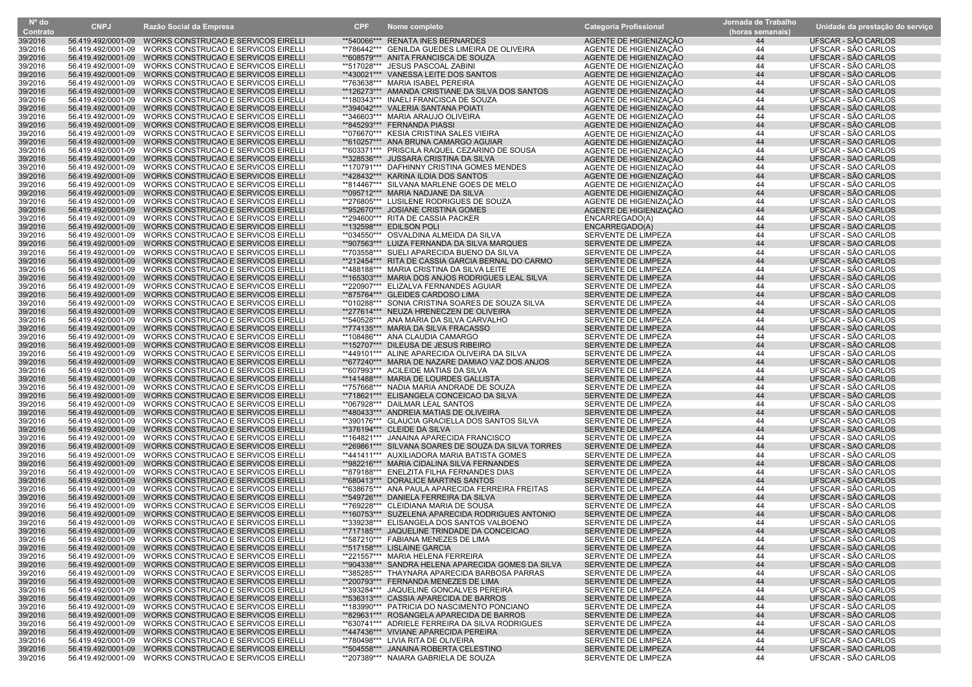| $N^{\circ}$ do     | <b>CNPJ</b>        | Razão Social da Empresa                                                                                          | <b>CPF</b> | Nome completo                                                                                       | <b>Categoria Profissional</b>                    | Jornada de Trabalho | Unidade da prestação do serviço            |
|--------------------|--------------------|------------------------------------------------------------------------------------------------------------------|------------|-----------------------------------------------------------------------------------------------------|--------------------------------------------------|---------------------|--------------------------------------------|
| Contrato           |                    |                                                                                                                  |            |                                                                                                     |                                                  | (horas semanais)    |                                            |
| 39/2016            |                    | 56.419.492/0001-09 WORKS CONSTRUCAO E SERVICOS EIRELLI                                                           |            | **540066*** RENATA INES BERNARDES                                                                   | AGENTE DE HIGIENIZAÇÃO                           | 44                  | UFSCAR - SÃO CARLOS                        |
| 39/2016            | 56.419.492/0001-09 | WORKS CONSTRUCAO E SERVICOS EIRELLI                                                                              |            | **786442*** GENILDA GUEDES LIMEIRA DE OLIVEIRA<br>**608579*** ANITA FRANCISCA DE SOUZA              | AGENTE DE HIGIENIZAÇÃO                           | 44                  | UFSCAR - SÃO CARLOS                        |
| 39/2016<br>39/2016 | 56.419.492/0001-09 | 56.419.492/0001-09 WORKS CONSTRUCAO E SERVICOS EIRELLI<br>WORKS CONSTRUCAO E SERVICOS EIRELLI                    |            | **517028*** JESUS PASCOAL ZABINI                                                                    | AGENTE DE HIGIENIZAÇÃO<br>AGENTE DE HIGIENIZAÇÃO | 44<br>44            | UFSCAR - SÃO CARLOS<br>UFSCAR - SÃO CARLOS |
| 39/2016            | 56.419.492/0001-09 | WORKS CONSTRUCAO E SERVICOS EIRELLI                                                                              |            | **430021*** VANESSA LEITE DOS SANTOS                                                                | AGENTE DE HIGIENIZAÇÃO                           | 44                  | UFSCAR - SÃO CARLOS                        |
| 39/2016            |                    | 56.419.492/0001-09 WORKS CONSTRUCAO E SERVICOS EIRELLI                                                           |            | **763638*** MARIA ISABEL PEREIRA                                                                    | AGENTE DE HIGIENIZAÇÃO                           | 44                  | UFSCAR - SÃO CARLOS                        |
| 39/2016            |                    | 56.419.492/0001-09 WORKS CONSTRUCAO E SERVICOS EIRELLI                                                           |            | **126273*** AMANDA CRISTIANE DA SILVA DOS SANTOS                                                    | AGENTE DE HIGIENIZAÇÃO                           | 44                  | UFSCAR - SÃO CARLOS                        |
| 39/2016            |                    | 56.419.492/0001-09 WORKS CONSTRUCAO E SERVICOS EIRELLI                                                           |            | **180343*** INAELI FRANCISCA DE SOUZA                                                               | AGENTE DE HIGIENIZACÃO                           | 44                  | UFSCAR - SÃO CARLOS                        |
| 39/2016            |                    | 56.419.492/0001-09 WORKS CONSTRUCAO E SERVICOS EIRELLI                                                           |            | **394042*** VALERIA SANTANA POIATI                                                                  | AGENTE DE HIGIENIZAÇÃO                           | 44                  | UFSCAR - SÃO CARLOS                        |
| 39/2016            |                    | 56.419.492/0001-09 WORKS CONSTRUCAO E SERVICOS EIRELLI                                                           |            | **346603*** MARIA ARAUJO OLIVEIRA                                                                   | AGENTE DE HIGIENIZAÇÃO                           | 44                  | UFSCAR - SÃO CARLOS                        |
| 39/2016            |                    | 56.419.492/0001-09 WORKS CONSTRUCAO E SERVICOS EIRELLI                                                           |            | **845293*** FERNANDA PIASSI                                                                         | AGENTE DE HIGIENIZAÇÃO                           | 44                  | UFSCAR - SÃO CARLOS                        |
| 39/2016            |                    | 56.419.492/0001-09 WORKS CONSTRUCAO E SERVICOS EIRELLI                                                           |            | **076670*** KESIA CRISTINA SALES VIEIRA                                                             | AGENTE DE HIGIENIZAÇÃO                           | 44                  | UFSCAR - SÃO CARLOS                        |
| 39/2016            |                    | 56.419.492/0001-09 WORKS CONSTRUCAO E SERVICOS EIRELLI                                                           |            | **610257*** ANA BRUNA CAMARGO AGUIAR                                                                | AGENTE DE HIGIENIZAÇÃO                           | 44                  | UFSCAR - SÃO CARLOS                        |
| 39/2016            | 56.419.492/0001-09 | WORKS CONSTRUCAO E SERVICOS EIRELLI                                                                              |            | **603371*** PRISCILA RAQUEL CEZARINO DE SOUSA                                                       | AGENTE DE HIGIENIZAÇÃO                           | 44                  | UFSCAR - SÃO CARLOS                        |
| 39/2016            |                    | 56.419.492/0001-09 WORKS CONSTRUCAO E SERVICOS EIRELLI                                                           |            | **328536*** JUSSARA CRISTINA DA SILVA<br>**170791*** DAFHINNY CRISTINA GOMES MENDES                 | AGENTE DE HIGIENIZAÇÃO                           | 44                  | UFSCAR - SÃO CARLOS<br>UFSCAR - SÃO CARLOS |
| 39/2016<br>39/2016 |                    | 56.419.492/0001-09 WORKS CONSTRUCAO E SERVICOS EIRELLI<br>56.419.492/0001-09 WORKS CONSTRUCAO E SERVICOS EIRELLI |            | **428432*** KARINA ILOIA DOS SANTOS                                                                 | AGENTE DE HIGIENIZAÇÃO<br>AGENTE DE HIGIENIZAÇÃO | 44<br>44            | UFSCAR - SÃO CARLOS                        |
| 39/2016            |                    | 56.419.492/0001-09 WORKS CONSTRUCAO E SERVICOS EIRELLI                                                           |            | **814467*** SILVANA MARLENE GOES DE MELO                                                            | AGENTE DE HIGIENIZAÇÃO                           | 44                  | UFSCAR - SÃO CARLOS                        |
| 39/2016            |                    | 56.419.492/0001-09 WORKS CONSTRUCAO E SERVICOS EIRELLI                                                           |            | **095712*** MARIA NADJANE DA SILVA                                                                  | AGENTE DE HIGIENIZAÇÃO                           | 44                  | UFSCAR - SÃO CARLOS                        |
| 39/2016            |                    | 56.419.492/0001-09 WORKS CONSTRUCAO E SERVICOS EIRELLI                                                           |            | **276805*** LUSILENE RODRIGUES DE SOUZA                                                             | AGENTE DE HIGIENIZAÇÃO                           | 44                  | UFSCAR - SÃO CARLOS                        |
| 39/2016            |                    | 56.419.492/0001-09 WORKS CONSTRUCAO E SERVICOS EIRELLI                                                           |            | **952670*** JOSIANE CRISTINA GOMES                                                                  | AGENTE DE HIGIENIZAÇÃO                           | 44                  | UFSCAR - SÃO CARLOS                        |
| 39/2016            |                    | 56.419.492/0001-09 WORKS CONSTRUCAO E SERVICOS EIRELLI                                                           |            | **294600*** RITA DE CASSIA PACKER                                                                   | ENCARREGADO(A)                                   | 44                  | UFSCAR - SÃO CARLOS                        |
| 39/2016            | 56.419.492/0001-09 | WORKS CONSTRUCAO E SERVICOS EIRELLI                                                                              |            | **132598*** EDILSON POLI                                                                            | ENCARREGADO(A)                                   | 44                  | UFSCAR - SÃO CARLOS                        |
| 39/2016            |                    | 56.419.492/0001-09 WORKS CONSTRUCAO E SERVICOS EIRELLI                                                           |            | **034550*** OSVALDINA ALMEIDA DA SILVA                                                              | SERVENTE DE LIMPEZA                              | 44                  | UFSCAR - SÃO CARLOS                        |
| 39/2016            |                    | 56.419.492/0001-09 WORKS CONSTRUCAO E SERVICOS EIRELLI                                                           |            | **907563*** LUIZA FERNANDA DA SILVA MARQUES                                                         | SERVENTE DE LIMPEZA                              | 44                  | UFSCAR - SÃO CARLOS                        |
| 39/2016            |                    | 56.419.492/0001-09 WORKS CONSTRUCAO E SERVICOS EIRELLI                                                           |            | **703558*** SUELI APARECIDA BUENO DA SILVA                                                          | SERVENTE DE LIMPEZA                              | 44                  | UFSCAR - SÃO CARLOS                        |
| 39/2016            |                    | 56.419.492/0001-09 WORKS CONSTRUCAO E SERVICOS EIRELLI                                                           |            | **212454*** RITA DE CASSIA GARCIA BERNAL DO CARMO                                                   | SERVENTE DE LIMPEZA                              | 44                  | UFSCAR - SÃO CARLOS                        |
| 39/2016            |                    | 56.419.492/0001-09 WORKS CONSTRUCAO E SERVICOS EIRELLI                                                           |            | **488188*** MARIA CRISTINA DA SILVA LEITE                                                           | SERVENTE DE LIMPEZA                              | 44                  | UFSCAR - SÃO CARLOS                        |
| 39/2016            |                    | 56.419.492/0001-09 WORKS CONSTRUCAO E SERVICOS EIRELLI<br>WORKS CONSTRUCAO E SERVICOS EIRELLI                    |            | **165303*** MARIA DOS ANJOS RODRIGUES LEAL SILVA                                                    | SERVENTE DE LIMPEZA                              | 44<br>44            | UFSCAR - SÃO CARLOS                        |
| 39/2016<br>39/2016 | 56.419.492/0001-09 | 56.419.492/0001-09 WORKS CONSTRUCAO E SERVICOS EIRELLI                                                           |            | **220907*** ELIZALVA FERNANDES AGUIAR<br>**875764*** GLEIDES CARDOSO LIMA                           | SERVENTE DE LIMPEZA<br>SERVENTE DE LIMPEZA       | 44                  | UFSCAR - SÃO CARLOS<br>UFSCAR - SÃO CARLOS |
| 39/2016            | 56.419.492/0001-09 | WORKS CONSTRUCAO E SERVICOS EIRELLI                                                                              |            | **010288*** SONIA CRISTINA SOARES DE SOUZA SILVA                                                    | SERVENTE DE LIMPEZA                              | 44                  | UFSCAR - SÃO CARLOS                        |
| 39/2016            |                    | 56.419.492/0001-09 WORKS CONSTRUCAO E SERVICOS EIRELLI                                                           |            | **277614*** NEUZA HRENECZEN DE OLIVEIRA                                                             | SERVENTE DE LIMPEZA                              | 44                  | UFSCAR - SÃO CARLOS                        |
| 39/2016            |                    | 56.419.492/0001-09 WORKS CONSTRUCAO E SERVICOS EIRELLI                                                           |            | **540528*** ANA MARIA DA SILVA CARVALHO                                                             | SERVENTE DE LIMPEZA                              | 44                  | UFSCAR - SÃO CARLOS                        |
| 39/2016            |                    | 56.419.492/0001-09 WORKS CONSTRUCAO E SERVICOS EIRELLI                                                           |            | **774135*** MARIA DA SILVA FRACASSO                                                                 | <b>SERVENTE DE LIMPEZA</b>                       | 44                  | UFSCAR - SÃO CARLOS                        |
| 39/2016            | 56.419.492/0001-09 | WORKS CONSTRUCAO E SERVICOS EIRELLI                                                                              |            | **108486*** ANA CLAUDIA CAMARGO                                                                     | SERVENTE DE LIMPEZA                              | 44                  | UFSCAR - SÃO CARLOS                        |
| 39/2016            |                    | 56.419.492/0001-09 WORKS CONSTRUCAO E SERVICOS EIRELLI                                                           |            | **152707*** DILEUSA DE JESUS RIBEIRO                                                                | SERVENTE DE LIMPEZA                              | 44                  | UFSCAR - SÃO CARLOS                        |
| 39/2016            |                    | 56.419.492/0001-09 WORKS CONSTRUCAO E SERVICOS EIRELLI                                                           |            | **449101*** ALINE APARECIDA OLIVEIRA DA SILVA                                                       | SERVENTE DE LIMPEZA                              | 44                  | UFSCAR - SÃO CARLOS                        |
| 39/2016            |                    | 56.419.492/0001-09 WORKS CONSTRUCAO E SERVICOS EIRELLI                                                           |            | **677240*** MARIA DE NAZARE DAMIAO VAZ DOS ANJOS                                                    | SERVENTE DE LIMPEZA                              | 44                  | UFSCAR - SÃO CARLOS                        |
| 39/2016            | 56.419.492/0001-09 | WORKS CONSTRUCAO E SERVICOS EIRELLI                                                                              |            | **607993*** ACILEIDE MATIAS DA SILVA<br>**141488*** MARIA DE LOURDES GALLISTA                       | SERVENTE DE LIMPEZA                              | 44                  | UFSCAR - SÃO CARLOS                        |
| 39/2016<br>39/2016 | 56.419.492/0001-09 | WORKS CONSTRUCAO E SERVICOS EIRELLI<br>56.419.492/0001-09 WORKS CONSTRUCAO E SERVICOS EIRELLI                    |            | **757668*** NADIA MARIA ANDRADE DE SOUZA                                                            | SERVENTE DE LIMPEZA<br>SERVENTE DE LIMPEZA       | 44<br>44            | UFSCAR - SÃO CARLOS<br>UFSCAR - SÃO CARLOS |
| 39/2016            |                    | 56.419.492/0001-09 WORKS CONSTRUCAO E SERVICOS EIRELLI                                                           |            | **718621*** ELISANGELA CONCEICAO DA SILVA                                                           | SERVENTE DE LIMPEZA                              | 44                  | UFSCAR - SÃO CARLOS                        |
| 39/2016            |                    | 56.419.492/0001-09 WORKS CONSTRUCAO E SERVICOS EIRELLI                                                           |            | **067928*** DAILMAR LEAL SANTOS                                                                     | SERVENTE DE LIMPEZA                              | 44                  | UFSCAR - SÃO CARLOS                        |
| 39/2016            |                    | 56.419.492/0001-09 WORKS CONSTRUCAO E SERVICOS EIRELLI                                                           |            | **480433*** ANDREIA MATIAS DE OLIVEIRA                                                              | SERVENTE DE LIMPEZA                              | 44                  | UFSCAR - SÃO CARLOS                        |
| 39/2016            | 56.419.492/0001-09 | WORKS CONSTRUCAO E SERVICOS EIRELLI                                                                              |            | **390176*** GLAUCIA GRACIELLA DOS SANTOS SILVA                                                      | SERVENTE DE LIMPEZA                              | 44                  | UFSCAR - SÃO CARLOS                        |
| 39/2016            |                    | 56.419.492/0001-09 WORKS CONSTRUCAO E SERVICOS EIRELLI                                                           |            | **376194*** CLEIDE DA SILVA                                                                         | SERVENTE DE LIMPEZA                              | 44                  | UFSCAR - SÃO CARLOS                        |
| 39/2016            | 56.419.492/0001-09 | WORKS CONSTRUCAO E SERVICOS EIRELLI                                                                              |            | **164821*** JANAINA APARECIDA FRANCISCO                                                             | SERVENTE DE LIMPEZA                              | 44                  | UFSCAR - SÃO CARLOS                        |
| 39/2016            |                    | 56.419.492/0001-09 WORKS CONSTRUCAO E SERVICOS EIRELLI                                                           |            | **269861*** SILVANA SOARES DE SOUZA DA SILVA TORRES                                                 | SERVENTE DE LIMPEZA                              | 44                  | UFSCAR - SÃO CARLOS                        |
| 39/2016            | 56.419.492/0001-09 | WORKS CONSTRUCAO E SERVICOS EIRELLI                                                                              |            | **441411*** AUXILIADORA MARIA BATISTA GOMES                                                         | SERVENTE DE LIMPEZA                              | 44                  | UFSCAR - SÃO CARLOS                        |
| 39/2016            |                    | 56.419.492/0001-09 WORKS CONSTRUCAO E SERVICOS EIRELLI                                                           |            | **982216*** MARIA CIDALINA SILVA FERNANDES<br>**879188*** ENELZITA FILHA FERNANDES DIAS             | SERVENTE DE LIMPEZA                              | 44                  | UFSCAR - SÃO CARLOS                        |
| 39/2016<br>39/2016 |                    | 56.419.492/0001-09 WORKS CONSTRUCAO E SERVICOS EIRELLI<br>56.419.492/0001-09 WORKS CONSTRUCAO E SERVICOS EIRELLI |            | **680413*** DORALICE MARTINS SANTOS                                                                 | SERVENTE DE LIMPEZA<br>SERVENTE DE LIMPEZA       | 44<br>44            | UFSCAR - SÃO CARLOS<br>UFSCAR - SÃO CARLOS |
| 39/2016            |                    | 56.419.492/0001-09 WORKS CONSTRUCAO E SERVICOS EIRELLI                                                           |            | **638675*** ANA PAULA APARECIDA FERREIRA FREITAS                                                    | SERVENTE DE LIMPEZA                              | 44                  | UFSCAR - SÃO CARLOS                        |
| 39/2016            |                    | 56.419.492/0001-09 WORKS CONSTRUCAO E SERVICOS EIRELLI                                                           |            | **549726*** DANIELA FERREIRA DA SILVA                                                               | SERVENTE DE LIMPEZA                              | 44                  | UFSCAR - SÃO CARLOS                        |
| 39/2016            |                    | 56.419.492/0001-09 WORKS CONSTRUCAO E SERVICOS EIRELLI                                                           |            | **769228*** CLEIDIANA MARIA DE SOUSA                                                                | <b>SERVENTE DE LIMPEZA</b>                       | 44                  | UFSCAR - SÃO CARLOS                        |
| 39/2016            |                    | 56.419.492/0001-09 WORKS CONSTRUCAO E SERVICOS EIRELLI                                                           |            | **160753*** SUZELENA APARECIDA RODRIGUES ANTONIO                                                    | SERVENTE DE LIMPEZA                              | 44                  | UFSCAR - SÃO CARLOS                        |
| 39/2016            |                    | 56.419.492/0001-09 WORKS CONSTRUCAO E SERVICOS EIRELLI                                                           |            | **339238*** ELISANGELA DOS SANTOS VALBOENO                                                          | SERVENTE DE LIMPEZA                              | 44                  | UFSCAR - SÃO CARLOS                        |
| 39/2016            |                    | 56.419.492/0001-09 WORKS CONSTRUCAO E SERVICOS EIRELLI                                                           |            | **717185*** JAQUELINE TRINDADE DA CONCEICAO                                                         | SERVENTE DE LIMPEZA                              | 44                  | UFSCAR - SÃO CARLOS                        |
| 39/2016            |                    | 56.419.492/0001-09 WORKS CONSTRUCAO E SERVICOS EIRELLI                                                           |            | **587210*** FABIANA MENEZES DE LIMA                                                                 | SERVENTE DE LIMPEZA                              | 44                  | UFSCAR - SAO CARLOS                        |
| 39/2016            |                    | 56.419.492/0001-09 WORKS CONSTRUCAO E SERVICOS EIRELLI                                                           |            | **517158*** LISLAINE GARCIA                                                                         | SERVENTE DE LIMPEZA                              | 44                  | UFSCAR - SÃO CARLOS                        |
| 39/2016            |                    | 56.419.492/0001-09 WORKS CONSTRUCAO E SERVICOS EIRELLI                                                           |            | **221557*** MARIA HELENA FERREIRA                                                                   | SERVENTE DE LIMPEZA                              | 44                  | UFSCAR - SÃO CARLOS                        |
| 39/2016<br>39/2016 |                    | 56.419.492/0001-09 WORKS CONSTRUCAO E SERVICOS EIRELLI<br>56.419.492/0001-09 WORKS CONSTRUCAO E SERVICOS EIRELLI |            | **904338*** SANDRA HELENA APARECIDA GOMES DA SILVA<br>**385285*** THAYNARA APARECIDA BARBOSA PARRAS | SERVENTE DE LIMPEZA<br>SERVENTE DE LIMPEZA       | 44<br>44            | UFSCAR - SÃO CARLOS<br>UFSCAR - SÃO CARLOS |
| 39/2016            |                    | 56.419.492/0001-09 WORKS CONSTRUCAO E SERVICOS EIRELLI                                                           |            | **200793*** FERNANDA MENEZES DE LIMA                                                                | SERVENTE DE LIMPEZA                              | 44                  | UFSCAR - SÃO CARLOS                        |
| 39/2016            |                    | 56.419.492/0001-09 WORKS CONSTRUCAO E SERVICOS EIRELLI                                                           |            | **393284*** JAQUELINE GONCALVES PEREIRA                                                             | SERVENTE DE LIMPEZA                              | 44                  | UFSCAR - SÃO CARLOS                        |
| 39/2016            |                    | 56.419.492/0001-09 WORKS CONSTRUCAO E SERVICOS EIRELLI                                                           |            | **536313*** CASSIA APARECIDA DE BARROS                                                              | SERVENTE DE LIMPEZA                              | 44                  | UFSCAR - SÃO CARLOS                        |
| 39/2016            |                    | 56.419.492/0001-09 WORKS CONSTRUCAO E SERVICOS EIRELLI                                                           |            | **183990*** PATRICIA DO NASCIMENTO PONCIANO                                                         | SERVENTE DE LIMPEZA                              | 44                  | UFSCAR - SÃO CARLOS                        |
| 39/2016            |                    | 56.419.492/0001-09 WORKS CONSTRUCAO E SERVICOS EIRELLI                                                           |            | **829631*** ROSANGELA APARECIDA DE BARROS                                                           | <b>SERVENTE DE LIMPEZA</b>                       | 44                  | UFSCAR - SÃO CARLOS                        |
| 39/2016            |                    | 56.419.492/0001-09 WORKS CONSTRUCAO E SERVICOS EIRELLI                                                           |            | **630741*** ADRIELE FERREIRA DA SILVA RODRIGUES                                                     | SERVENTE DE LIMPEZA                              | 44                  | UFSCAR - SÃO CARLOS                        |
| 39/2016            |                    | 56.419.492/0001-09 WORKS CONSTRUCAO E SERVICOS EIRELLI                                                           |            | **447436*** VIVIANE APARECIDA PEREIRA                                                               | SERVENTE DE LIMPEZA                              | 44                  | UFSCAR - SÃO CARLOS                        |
| 39/2016            |                    | 56.419.492/0001-09 WORKS CONSTRUCAO E SERVICOS EIRELLI                                                           |            | **780498*** LIVIA RITA DE OLIVEIRA                                                                  | SERVENTE DE LIMPEZA                              | 44                  | UFSCAR - SÃO CARLOS                        |
| 39/2016            |                    | 56.419.492/0001-09 WORKS CONSTRUCAO E SERVICOS EIRELLI                                                           |            | **504558*** JANAINA ROBERTA CELESTINO                                                               | SERVENTE DE LIMPEZA                              | 44                  | UFSCAR - SÃO CARLOS                        |
| 39/2016            |                    | 56.419.492/0001-09 WORKS CONSTRUCAO E SERVICOS EIRELLI                                                           |            | **207389*** NAIARA GABRIELA DE SOUZA                                                                | SERVENTE DE LIMPEZA                              | 44                  | UFSCAR - SÃO CARLOS                        |

Nº do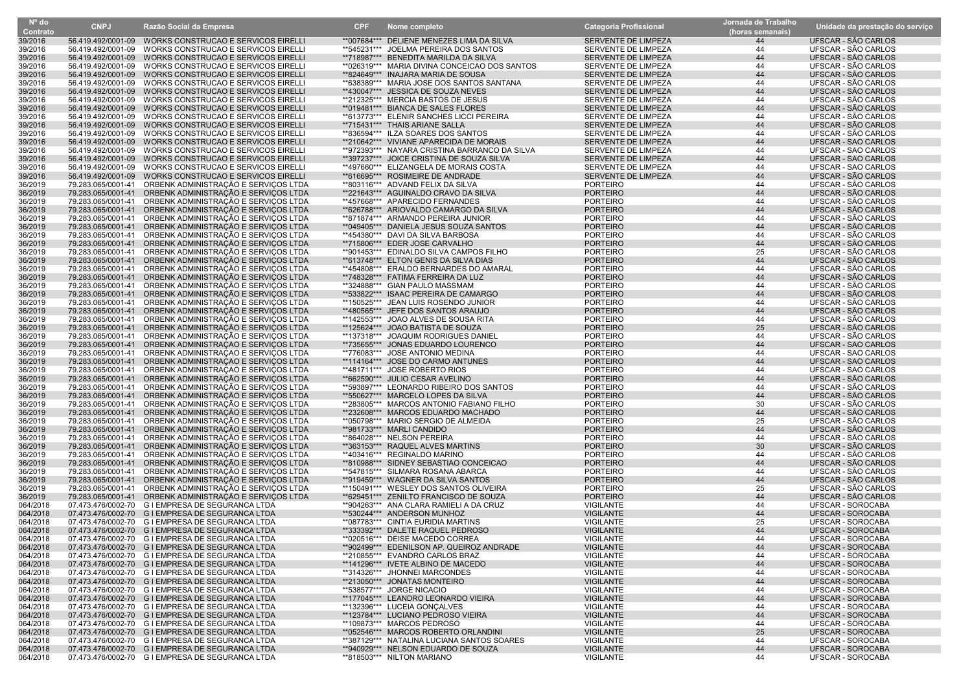| $N^{\circ}$ do       | <b>CNPJ</b>        | Razão Social da Empresa                                                                              | <b>CPF</b> | Nome completo                                                                            | <b>Categoria Profissional</b>              | Jornada de Trabalho | Unidade da prestação do serviço               |
|----------------------|--------------------|------------------------------------------------------------------------------------------------------|------------|------------------------------------------------------------------------------------------|--------------------------------------------|---------------------|-----------------------------------------------|
| Contrato             |                    |                                                                                                      |            |                                                                                          |                                            | (horas semanais)    |                                               |
| 39/2016              |                    | 56.419.492/0001-09 WORKS CONSTRUCAO E SERVICOS EIRELLI                                               |            | **007684*** DELIENE MENEZES LIMA DA SILVA                                                | SERVENTE DE LIMPEZA                        | 44                  | UFSCAR - SÃO CARLOS                           |
| 39/2016              | 56.419.492/0001-09 | WORKS CONSTRUCAO E SERVICOS EIRELL                                                                   |            | **545231*** JOELMA PEREIRA DOS SANTOS                                                    | SERVENTE DE LIMPEZA                        | 44                  | UFSCAR - SÃO CARLOS                           |
| 39/2016              | 56.419.492/0001-09 | WORKS CONSTRUCAO E SERVICOS EIRELLI                                                                  |            | **718987*** BENEDITA MARILDA DA SILVA                                                    | SERVENTE DE LIMPEZA                        | 44                  | UFSCAR - SÃO CARLOS                           |
| 39/2016              | 56.419.492/0001-09 | WORKS CONSTRUCAO E SERVICOS EIRELLI                                                                  |            | ** 026319*** MARIA DIVINA CONCEICAO DOS SANTOS                                           | SERVENTE DE LIMPEZA                        | 44                  | UFSCAR - SÃO CARLOS                           |
| 39/2016              | 56.419.492/0001-09 | WORKS CONSTRUCAO E SERVICOS EIRELLI                                                                  |            | **824649*** INAJARA MARIA DE SOUSA                                                       | SERVENTE DE LIMPEZA                        | 44                  | UFSCAR - SÃO CARLOS                           |
| 39/2016              |                    | 56.419.492/0001-09 WORKS CONSTRUCAO E SERVICOS EIRELL                                                |            | **638389*** MARIA JOSE DOS SANTOS SANTANA                                                | SERVENTE DE LIMPEZA                        | 44                  | UFSCAR - SÃO CARLOS                           |
| 39/2016              |                    | 56.419.492/0001-09 WORKS CONSTRUCAO E SERVICOS EIRELLI                                               |            | **430047*** JESSICA DE SOUZA NEVES                                                       | SERVENTE DE LIMPEZA                        | 44                  | UFSCAR - SÃO CARLOS                           |
| 39/2016              |                    | 56.419.492/0001-09 WORKS CONSTRUCAO E SERVICOS EIRELL                                                |            | **212325*** MERCIA BASTOS DE JESUS                                                       | SERVENTE DE LIMPEZA                        | 44                  | UFSCAR - SÃO CARLOS                           |
| 39/2016              |                    | 56.419.492/0001-09 WORKS CONSTRUCAO E SERVICOS EIRELLI                                               |            | **019481*** BIANCA DE SALES FLORES                                                       | SERVENTE DE LIMPEZA                        | 44                  | UFSCAR - SÃO CARLOS                           |
| 39/2016              |                    | 56.419.492/0001-09 WORKS CONSTRUCAO E SERVICOS EIRELL                                                |            | **613773*** ELENIR SANCHES LICCI PEREIRA                                                 | SERVENTE DE LIMPEZA                        | 44                  | UFSCAR - SÃO CARLOS                           |
| 39/2016              |                    | 56.419.492/0001-09 WORKS CONSTRUCAO E SERVICOS EIRELLI                                               |            | **715431*** THAIS ARIANE SALLA                                                           | SERVENTE DE LIMPEZA                        | 44                  | UFSCAR - SÃO CARLOS                           |
| 39/2016              |                    | 56.419.492/0001-09 WORKS CONSTRUCAO E SERVICOS EIRELLI                                               |            | **836594*** ILZA SOARES DOS SANTOS                                                       | SERVENTE DE LIMPEZA                        | 44                  | UFSCAR - SÃO CARLOS                           |
| 39/2016              | 56.419.492/0001-09 | 56.419.492/0001-09 WORKS CONSTRUCAO E SERVICOS EIRELLI<br>WORKS CONSTRUCAO E SERVICOS EIRELLI        |            | **210642*** VIVIANE APARECIDA DE MORAIS<br>**972393*** NAYARA CRISTINA BARRANCO DA SILVA | SERVENTE DE LIMPEZA                        | 44<br>44            | UFSCAR - SÃO CARLOS<br>UFSCAR - SÃO CARLOS    |
| 39/2016<br>39/2016   |                    | 56.419.492/0001-09 WORKS CONSTRUCAO E SERVICOS EIRELLI                                               |            | **397237*** JOICE CRISTINA DE SOUZA SILVA                                                | SERVENTE DE LIMPEZA<br>SERVENTE DE LIMPEZA | 44                  | UFSCAR - SÃO CARLOS                           |
| 39/2016              |                    | 56.419.492/0001-09 WORKS CONSTRUCAO E SERVICOS EIRELLI                                               |            | **497660*** ELIZANGELA DE MORAIS COSTA                                                   | SERVENTE DE LIMPEZA                        | 44                  | UFSCAR - SÃO CARLOS                           |
| 39/2016              |                    | 56.419.492/0001-09 WORKS CONSTRUCAO E SERVICOS EIRELLI                                               |            | **616695*** ROSIMEIRE DE ANDRADE                                                         | SERVENTE DE LIMPEZA                        | 44                  | UFSCAR - SÃO CARLOS                           |
| 36/2019              |                    | 79.283.065/0001-41 ORBENK ADMINISTRAÇÃO E SERVIÇOS LTDA                                              |            | **803116*** ADVAND FELIX DA SILVA                                                        | <b>PORTEIRO</b>                            | 44                  | UFSCAR - SÃO CARLOS                           |
| 36/2019              |                    | 79.283.065/0001-41 ORBENK ADMINISTRAÇÃO E SERVIÇOS LTDA                                              |            | **221643*** AGUINALDO CRAVO DA SILVA                                                     | <b>PORTEIRO</b>                            | 44                  | UFSCAR - SÃO CARLOS                           |
| 36/2019              |                    | 79.283.065/0001-41 ORBENK ADMINISTRAÇÃO E SERVIÇOS LTDA                                              |            | **457668*** APARECIDO FERNANDES                                                          | <b>PORTEIRO</b>                            | 44                  | UFSCAR - SÃO CARLOS                           |
| 36/2019              |                    | 79.283.065/0001-41 ORBENK ADMINISTRAÇÃO E SERVIÇOS LTDA                                              |            | **626788*** ARIOVALDO CAMARGO DA SILVA                                                   | <b>PORTEIRO</b>                            | 44                  | UFSCAR - SÃO CARLOS                           |
| 36/2019              |                    | 79.283.065/0001-41 ORBENK ADMINISTRAÇÃO E SERVIÇOS LTDA                                              |            | **871874*** ARMANDO PEREIRA JUNIOR                                                       | <b>PORTEIRO</b>                            | 44                  | UFSCAR - SÃO CARLOS                           |
| 36/2019              | 79.283.065/0001-41 | ORBENK ADMINISTRAÇÃO E SERVIÇOS LTDA                                                                 |            | **049405*** DANIELA JESUS SOUZA SANTOS                                                   | <b>PORTEIRO</b>                            | 44                  | UFSCAR - SÃO CARLOS                           |
| 36/2019              |                    | 79.283.065/0001-41 ORBENK ADMINISTRAÇÃO E SERVIÇOS LTDA                                              |            | **454380*** DAVI DA SILVA BARBOSA                                                        | <b>PORTEIRO</b>                            | 44                  | UFSCAR - SÃO CARLOS                           |
| 36/2019              |                    | 79.283.065/0001-41 ORBENK ADMINISTRAÇÃO E SERVIÇOS LTDA                                              |            | **715806*** EDER JOSE CARVALHO                                                           | <b>PORTEIRO</b>                            | 44                  | UFSCAR - SÃO CARLOS                           |
| 36/2019              |                    | 79.283.065/0001-41 ORBENK ADMINISTRAÇÃO E SERVIÇOS LTDA                                              |            | **901453*** EDINALDO SILVA CAMPOS FILHO                                                  | <b>PORTEIRO</b>                            | 25                  | UFSCAR - SÃO CARLOS                           |
| 36/2019              |                    | 79.283.065/0001-41 ORBENK ADMINISTRAÇÃO E SERVIÇOS LTDA                                              |            | **613748*** ELTON GENIS DA SILVA DIAS                                                    | <b>PORTEIRO</b>                            | 44                  | UFSCAR - SÃO CARLOS                           |
| 36/2019              |                    | 79.283.065/0001-41 ORBENK ADMINISTRAÇÃO E SERVIÇOS LTDA                                              |            | **454808*** ERALDO BERNARDES DO AMARAL                                                   | <b>PORTEIRO</b>                            | 44                  | UFSCAR - SÃO CARLOS                           |
| 36/2019              |                    | 79.283.065/0001-41 ORBENK ADMINISTRAÇÃO E SERVIÇOS LTDA                                              |            | **748328*** FATIMA FERREIRA DA LUZ                                                       | <b>PORTEIRO</b>                            | 44                  | UFSCAR - SÃO CARLOS                           |
| 36/2019              |                    | 79.283.065/0001-41 ORBENK ADMINISTRAÇÃO E SERVIÇOS LTDA                                              |            | **324888*** GIAN PAULO MASSMAM                                                           | <b>PORTEIRO</b>                            | 44                  | UFSCAR - SÃO CARLOS                           |
| 36/2019              |                    | 79.283.065/0001-41 ORBENK ADMINISTRAÇÃO E SERVIÇOS LTDA                                              |            | **533822*** ISAAC PEREIRA DE CAMARGO                                                     | <b>PORTEIRO</b>                            | 44                  | UFSCAR - SÃO CARLOS                           |
| 36/2019              | 79.283.065/0001-41 | ORBENK ADMINISTRAÇÃO E SERVIÇOS LTDA                                                                 |            | **150525*** JEAN LUIS ROSENDO JUNIOR                                                     | <b>PORTEIRO</b>                            | 44                  | UFSCAR - SÃO CARLOS                           |
| 36/2019              |                    | 79.283.065/0001-41 ORBENK ADMINISTRAÇÃO E SERVIÇOS LTDA                                              |            | **480565*** JEFE DOS SANTOS ARAUJO                                                       | <b>PORTEIRO</b>                            | 44                  | UFSCAR - SÃO CARLOS                           |
| 36/2019              |                    | 79.283.065/0001-41 ORBENK ADMINISTRAÇÃO E SERVIÇOS LTDA                                              |            | **142553*** JOAO ALVES DE SOUSA RITA                                                     | <b>PORTEIRO</b>                            | 44                  | UFSCAR - SÃO CARLOS                           |
| 36/2019              |                    | 79.283.065/0001-41 ORBENK ADMINISTRAÇÃO E SERVIÇOS LTDA                                              |            | **125624*** JOAO BATISTA DE SOUZA                                                        | <b>PORTEIRO</b>                            | 25                  | UFSCAR - SÃO CARLOS                           |
| 36/2019              |                    | 79.283.065/0001-41 ORBENK ADMINISTRAÇÃO E SERVIÇOS LTDA                                              |            | **137318*** JOAQUIM RODRIGUES DANIEL                                                     | <b>PORTEIRO</b>                            | 44                  | UFSCAR - SÃO CARLOS                           |
| 36/2019              | 79.283.065/0001-41 | ORBENK ADMINISTRAÇÃO E SERVIÇOS LTDA                                                                 |            | **735655*** JONAS EDUARDO LOURENCO                                                       | <b>PORTEIRO</b>                            | 44                  | UFSCAR - SÃO CARLOS                           |
| 36/2019              |                    | 79.283.065/0001-41 ORBENK ADMINISTRAÇÃO E SERVIÇOS LTDA                                              |            | **776083*** JOSE ANTONIO MEDINA                                                          | <b>PORTEIRO</b>                            | 44                  | UFSCAR - SÃO CARLOS                           |
| 36/2019              | 79.283.065/0001-41 | ORBENK ADMINISTRAÇÃO E SERVIÇOS LTDA                                                                 |            | **114164*** JOSE DO CARMO ANTUNES                                                        | <b>PORTEIRO</b>                            | 44                  | UFSCAR - SÃO CARLOS                           |
| 36/2019              | 79.283.065/0001-41 | ORBENK ADMINISTRAÇÃO E SERVIÇOS LTDA                                                                 |            | **481711*** JOSE ROBERTO RIOS                                                            | <b>PORTEIRO</b>                            | 44                  | UFSCAR - SÃO CARLOS                           |
| 36/2019              | 79.283.065/0001-41 | ORBENK ADMINISTRAÇÃO E SERVIÇOS LTDA                                                                 |            | **662590*** JULIO CESAR AVELINO                                                          | <b>PORTEIRO</b>                            | 44                  | UFSCAR - SÃO CARLOS                           |
| 36/2019              |                    | 79.283.065/0001-41 ORBENK ADMINISTRAÇÃO E SERVIÇOS LTDA                                              |            | **593897*** LEONARDO RIBEIRO DOS SANTOS                                                  | <b>PORTEIRO</b>                            | 44                  | UFSCAR - SÃO CARLOS                           |
| 36/2019              |                    | 79.283.065/0001-41 ORBENK ADMINISTRAÇÃO E SERVIÇOS LTDA                                              |            | **550627*** MARCELO LOPES DA SILVA                                                       | <b>PORTEIRO</b>                            | 44                  | UFSCAR - SÃO CARLOS                           |
| 36/2019              |                    | 79.283.065/0001-41 ORBENK ADMINISTRAÇÃO E SERVIÇOS LTDA                                              |            | **283805*** MARCOS ANTONIO FABIANO FILHO                                                 | <b>PORTEIRO</b>                            | 30                  | UFSCAR - SÃO CARLOS                           |
| 36/2019              |                    | 79.283.065/0001-41 ORBENK ADMINISTRAÇÃO E SERVIÇOS LTDA                                              |            | **232608*** MARCOS EDUARDO MACHADO                                                       | <b>PORTEIRO</b>                            | 44                  | UFSCAR - SÃO CARLOS                           |
| 36/2019              | 79.283.065/0001-41 | ORBENK ADMINISTRAÇÃO E SERVIÇOS LTDA                                                                 |            | **050798*** MARIO SERGIO DE ALMEIDA                                                      | <b>PORTEIRO</b>                            | 25                  | UFSCAR - SÃO CARLOS                           |
| 36/2019              |                    | 79.283.065/0001-41 ORBENK ADMINISTRAÇÃO E SERVIÇOS LTDA                                              |            | **981733*** MARLI CANDIDO                                                                | <b>PORTEIRO</b>                            | 44                  | UFSCAR - SÃO CARLOS                           |
| 36/2019              |                    | 79.283.065/0001-41 ORBENK ADMINISTRAÇÃO E SERVIÇOS LTDA                                              |            | **864028*** NELSON PEREIRA                                                               | <b>PORTEIRO</b>                            | 44                  | UFSCAR - SÃO CARLOS                           |
| 36/2019              |                    | 79.283.065/0001-41 ORBENK ADMINISTRAÇÃO E SERVIÇOS LTDA                                              |            | **363153*** RAQUEL ALVES MARTINS                                                         | <b>PORTEIRO</b>                            | 30                  | UFSCAR - SÃO CARLOS                           |
| 36/2019              |                    | 79.283.065/0001-41 ORBENK ADMINISTRAÇÃO E SERVIÇOS LTDA                                              |            | **403416*** REGINALDO MARINO                                                             | <b>PORTEIRO</b>                            | 44                  | UFSCAR - SÃO CARLOS                           |
| 36/2019              |                    | 79.283.065/0001-41 ORBENK ADMINISTRAÇÃO E SERVIÇOS LTDA                                              |            | **810988*** SIDNEY SEBASTIAO CONCEICAO                                                   | <b>PORTEIRO</b>                            | 44                  | UFSCAR - SÃO CARLOS                           |
| 36/2019              |                    | 79.283.065/0001-41 ORBENK ADMINISTRAÇÃO E SERVIÇOS LTDA                                              |            | **547815*** SILMARA ROSANA ABARCA                                                        | <b>PORTEIRO</b>                            | 44                  | UFSCAR - SÃO CARLOS                           |
| 36/2019              |                    | 79.283.065/0001-41 ORBENK ADMINISTRAÇÃO E SERVIÇOS LTDA                                              |            | **919459*** WAGNER DA SILVA SANTOS                                                       | <b>PORTEIRO</b>                            | 44                  | UFSCAR - SÃO CARLOS                           |
| 36/2019              |                    | 79.283.065/0001-41 ORBENK ADMINISTRAÇÃO E SERVIÇOS LTDA                                              |            | **150491*** WESLEY DOS SANTOS OLIVEIRA                                                   | <b>PORTEIRO</b>                            | 25                  | UFSCAR - SÃO CARLOS                           |
| 36/2019              | 79.283.065/0001-41 | ORBENK ADMINISTRAÇÃO E SERVIÇOS LTDA                                                                 |            | **629451*** ZENILTO FRANCISCO DE SOUZA                                                   | <b>PORTEIRO</b>                            | 44                  | UFSCAR - SÃO CARLOS                           |
| 064/2018             |                    | 07.473.476/0002-70 G I EMPRESA DE SEGURANCA LTDA                                                     |            | **904263*** ANA CLARA RAMIELI A DA CRUZ                                                  | <b>VIGILANTE</b>                           | 44                  | <b>UFSCAR - SOROCABA</b>                      |
| 064/2018             |                    | 07.473.476/0002-70 G I EMPRESA DE SEGURANCA LTDA                                                     |            | **530244*** ANDERSON MUNHOZ                                                              | <b>VIGILANTE</b>                           | 44                  | UFSCAR - SOROCABA                             |
| 064/2018             |                    | 07.473.476/0002-70 G I EMPRESA DE SEGURANCA LTDA                                                     |            | **087783*** CINTIA EURIDIA MARTINS                                                       | <b>VIGILANTE</b>                           | 25                  | <b>UFSCAR - SOROCABA</b>                      |
| 064/2018             |                    | 07.473.476/0002-70 G I EMPRESA DE SEGURANCA LTDA                                                     |            | **333392*** DALETE RAQUEL PEDROSO                                                        | <b>VIGILANTE</b>                           | 44                  | <b>UFSCAR - SOROCABA</b>                      |
| 064/2018             |                    | 07.473.476/0002-70 G I EMPRESA DE SEGURANCA LTDA                                                     |            | *020516*** DEISE MACEDO CORREA                                                           | <b>VIGILANTE</b>                           | 44                  | UFSCAR - SOROCABA                             |
| 064/2018             |                    | 07.473.476/0002-70 G I EMPRESA DE SEGURANCA LTDA                                                     |            | **902499*** EDENILSON AP. QUEIROZ ANDRADE                                                | <b>VIGILANTE</b>                           | 44                  | UFSCAR - SOROCABA                             |
| 064/2018             |                    | 07.473.476/0002-70 G I EMPRESA DE SEGURANCA LTDA                                                     |            | **210855*** EVANDRO CARLOS BRAZ                                                          | <b>VIGILANTE</b>                           | 44                  | <b>UFSCAR - SOROCABA</b>                      |
| 064/2018             |                    | 07.473.476/0002-70 G I EMPRESA DE SEGURANCA LTDA<br>07.473.476/0002-70 G I EMPRESA DE SEGURANCA LTDA |            | **141296*** IVETE ALBINO DE MACEDO<br>**314326*** JHONNEI MARCONDES                      | <b>VIGILANTE</b><br><b>VIGILANTE</b>       | 44<br>44            | UFSCAR - SOROCABA<br><b>UFSCAR - SOROCABA</b> |
| 064/2018<br>064/2018 |                    | 07.473.476/0002-70 G I EMPRESA DE SEGURANCA LTDA                                                     |            |                                                                                          | <b>VIGILANTE</b>                           | 44                  | UFSCAR - SOROCABA                             |
|                      |                    | 07.473.476/0002-70 G I EMPRESA DE SEGURANCA LTDA                                                     |            | **213050*** JONATAS MONTEIRO<br>**538577*** JORGE NICACIO                                | <b>VIGILANTE</b>                           | 44                  |                                               |
| 064/2018             |                    | 07.473.476/0002-70 G I EMPRESA DE SEGURANCA LTDA                                                     |            | **177045*** LEANDRO LEONARDO VIEIRA                                                      | <b>VIGILANTE</b>                           |                     | UFSCAR - SOROCABA<br><b>UFSCAR - SOROCABA</b> |
| 064/2018<br>064/2018 |                    | 07.473.476/0002-70 G I EMPRESA DE SEGURANCA LTDA                                                     |            | **132396*** LUCEIA GONÇALVES                                                             | VIGILANTE                                  | 44<br>44            | UFSCAR - SOROCABA                             |
| 064/2018             |                    | 07.473.476/0002-70 G I EMPRESA DE SEGURANCA LTDA                                                     |            | **123784*** LUCIANO PEDROSO VIEIRA                                                       | <b>VIGILANTE</b>                           | 44                  | <b>UFSCAR - SOROCABA</b>                      |
| 064/2018             |                    | 07.473.476/0002-70 G I EMPRESA DE SEGURANCA LTDA                                                     |            | **109873*** MARCOS PEDROSO                                                               | VIGILANTE                                  | 44                  | UFSCAR - SOROCABA                             |
| 064/2018             |                    | 07.473.476/0002-70 G I EMPRESA DE SEGURANCA LTDA                                                     |            | **052546*** MARCOS ROBERTO ORLANDINI                                                     | <b>VIGILANTE</b>                           | 25                  | UFSCAR - SOROCABA                             |
| 064/2018             |                    | 07.473.476/0002-70 G I EMPRESA DE SEGURANCA LTDA                                                     |            | **387129*** NATALINA LUCIANA SANTOS SOARES                                               | VIGILANTE                                  | 44                  | UFSCAR - SOROCABA                             |
| 064/2018             |                    | 07.473.476/0002-70 G I EMPRESA DE SEGURANCA LTDA                                                     |            | **940929*** NELSON EDUARDO DE SOUZA                                                      | <b>VIGILANTE</b>                           | 44                  | <b>UFSCAR - SOROCABA</b>                      |
| 064/2018             |                    | 07.473.476/0002-70 G I EMPRESA DE SEGURANCA LTDA                                                     |            | **818503*** NILTON MARIANO                                                               | VIGILANTE                                  | 44                  | UFSCAR - SOROCABA                             |
|                      |                    |                                                                                                      |            |                                                                                          |                                            |                     |                                               |

Nº do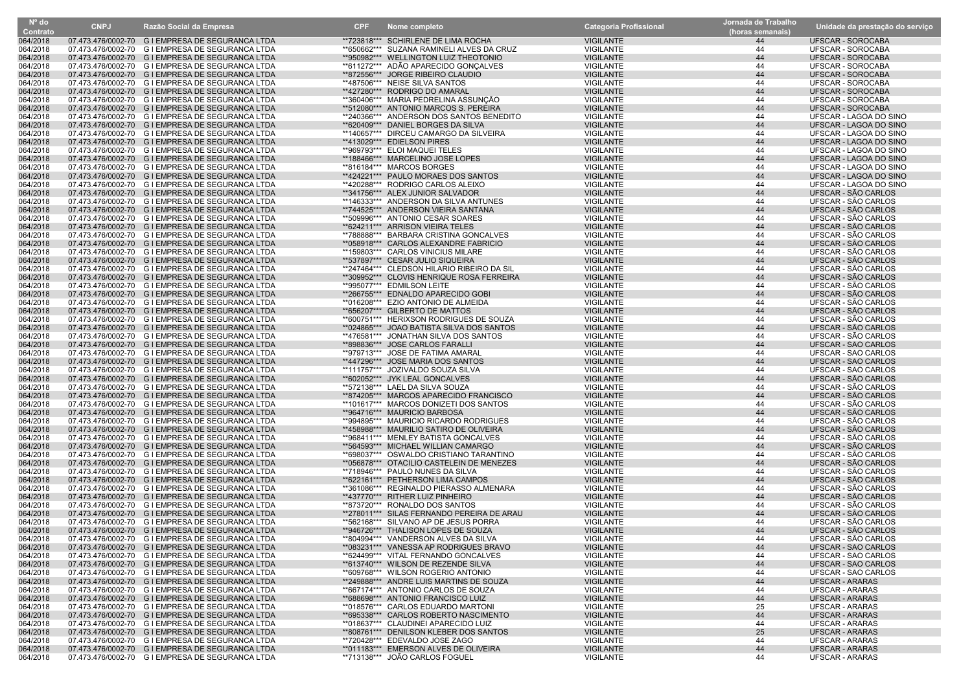| Nº do    | <b>CNPJ</b> | Razão Social da Empresa                          | <b>CPF</b> |                                            | <b>Categoria Profissional</b> | Jornada de Trabalho |                                 |
|----------|-------------|--------------------------------------------------|------------|--------------------------------------------|-------------------------------|---------------------|---------------------------------|
| Contrato |             |                                                  |            | Nome completo                              |                               | (horas semanais)    | Unidade da prestação do serviço |
| 064/2018 |             | 07.473.476/0002-70 G I EMPRESA DE SEGURANCA LTDA |            | **723818*** SCHIRLENE DE LIMA ROCHA        | <b>VIGILANTE</b>              | 44                  | UFSCAR - SOROCABA               |
| 064/2018 |             | 07.473.476/0002-70 G I EMPRESA DE SEGURANCA LTDA |            | **650662*** SUZANA RAMINELI ALVES DA CRUZ  | VIGILANTE                     | 44                  | UFSCAR - SOROCABA               |
| 064/2018 |             | 07.473.476/0002-70 G I EMPRESA DE SEGURANCA LTDA |            | **950982*** WELLINGTON LUIZ THEOTONIO      | <b>VIGILANTE</b>              | 44                  | UFSCAR - SOROCABA               |
| 064/2018 |             | 07.473.476/0002-70 G I EMPRESA DE SEGURANCA LTDA |            | **611272*** ADÃO APARECIDO GONÇALVES       | VIGILANTE                     | 44                  | UFSCAR - SOROCABA               |
| 064/2018 |             | 07.473.476/0002-70 G I EMPRESA DE SEGURANCA LTDA |            | **872556*** JORGE RIBEIRO CLAUDIO          | <b>VIGILANTE</b>              | 44                  | UFSCAR - SOROCABA               |
| 064/2018 |             | 07.473.476/0002-70 G I EMPRESA DE SEGURANCA LTDA |            | **487506*** NEISE SILVA SANTOS             | VIGILANTE                     | 44                  | UFSCAR - SOROCABA               |
| 064/2018 |             | 07.473.476/0002-70 G I EMPRESA DE SEGURANCA LTDA |            | **427280*** RODRIGO DO AMARAL              | <b>VIGILANTE</b>              | 44                  | <b>UFSCAR - SOROCABA</b>        |
| 064/2018 |             | 07.473.476/0002-70 G I EMPRESA DE SEGURANCA LTDA |            | **360406*** MARIA PEDRELINA ASSUNÇÃO       | <b>VIGILANTE</b>              | 44                  | <b>UFSCAR - SOROCABA</b>        |
| 064/2018 |             | 07.473.476/0002-70 G I EMPRESA DE SEGURANCA LTDA |            | **512080*** ANTONIO MARCOS S. PEREIRA      | <b>VIGILANTE</b>              | 44                  | UFSCAR - SOROCABA               |
| 064/2018 |             | 07.473.476/0002-70 G I EMPRESA DE SEGURANCA LTDA |            | **240366*** ANDERSON DOS SANTOS BENEDITO   | <b>VIGILANTE</b>              | 44                  |                                 |
| 064/2018 |             |                                                  |            |                                            |                               | 44                  | UFSCAR - LAGOA DO SINO          |
|          |             | 07.473.476/0002-70 G I EMPRESA DE SEGURANCA LTDA |            | **620409*** DANIEL BORGES DA SILVA         | <b>VIGILANTE</b>              |                     | UFSCAR - LAGOA DO SINO          |
| 064/2018 |             | 07.473.476/0002-70 G I EMPRESA DE SEGURANCA LTDA |            | **140657*** DIRCEU CAMARGO DA SILVEIRA     | <b>VIGILANTE</b>              | 44                  | UFSCAR - LAGOA DO SINO          |
| 064/2018 |             | 07.473.476/0002-70 G I EMPRESA DE SEGURANCA LTDA |            | **413029*** EDIELSON PIRES                 | <b>VIGILANTE</b>              | 44                  | UFSCAR - LAGOA DO SINO          |
| 064/2018 |             | 07.473.476/0002-70 G I EMPRESA DE SEGURANCA LTDA |            | **969793*** ELOI MAQUEI TELES              | <b>VIGILANTE</b>              | 44                  | UFSCAR - LAGOA DO SINO          |
| 064/2018 |             | 07.473.476/0002-70 G I EMPRESA DE SEGURANCA LTDA |            | **188466*** MARCELINO JOSE LOPES           | <b>VIGILANTE</b>              | 44                  | UFSCAR - LAGOA DO SINO          |
| 064/2018 |             | 07.473.476/0002-70 G I EMPRESA DE SEGURANCA LTDA |            | **816184*** MARCOS BORGES                  | <b>VIGILANTE</b>              | 44                  | UFSCAR - LAGOA DO SINO          |
| 064/2018 |             | 07.473.476/0002-70 G I EMPRESA DE SEGURANCA LTDA |            | **424221*** PAULO MORAES DOS SANTOS        | <b>VIGILANTE</b>              | 44                  | UFSCAR - LAGOA DO SINO          |
| 064/2018 |             | 07.473.476/0002-70 G I EMPRESA DE SEGURANCA LTDA |            | **420288*** RODRIGO CARLOS ALEIXO          | <b>VIGILANTE</b>              | 44                  | UFSCAR - LAGOA DO SINO          |
| 064/2018 |             | 07.473.476/0002-70 G I EMPRESA DE SEGURANCA LTDA |            | **341756*** ALEX JUNIOR SALVADOR           | <b>VIGILANTE</b>              | 44                  | UFSCAR - SÃO CARLOS             |
| 064/2018 |             | 07.473.476/0002-70 G I EMPRESA DE SEGURANCA LTDA |            | **146333*** ANDERSON DA SILVA ANTUNES      | VIGILANTE                     | 44                  | UFSCAR - SÃO CARLOS             |
| 064/2018 |             | 07.473.476/0002-70 G I EMPRESA DE SEGURANCA LTDA |            | **744525*** ANDERSON VIEIRA SANTANA        | <b>VIGILANTE</b>              | 44                  | UFSCAR - SÃO CARLOS             |
| 064/2018 |             | 07.473.476/0002-70 G I EMPRESA DE SEGURANCA LTDA |            | **509996*** ANTONIO CESAR SOARES           | <b>VIGILANTE</b>              | 44                  | UFSCAR - SÃO CARLOS             |
| 064/2018 |             | 07.473.476/0002-70 G I EMPRESA DE SEGURANCA LTDA |            | **624211*** ARRISON VIEIRA TELES           | <b>VIGILANTE</b>              | 44                  | UFSCAR - SÃO CARLOS             |
| 064/2018 |             | 07.473.476/0002-70 G I EMPRESA DE SEGURANCA LTDA |            | **788888*** BARBARA CRISTINA GONCALVES     | <b>VIGILANTE</b>              | 44                  | UFSCAR - SÃO CARLOS             |
| 064/2018 |             | 07.473.476/0002-70 G I EMPRESA DE SEGURANCA LTDA |            | **058918*** CARLOS ALEXANDRE FABRICIO      | <b>VIGILANTE</b>              | 44                  | UFSCAR - SÃO CARLOS             |
|          |             |                                                  |            | **159803*** CARLOS VINICIUS MILARE         | <b>VIGILANTE</b>              | 44                  |                                 |
| 064/2018 |             | 07.473.476/0002-70 G I EMPRESA DE SEGURANCA LTDA |            |                                            |                               |                     | UFSCAR - SÃO CARLOS             |
| 064/2018 |             | 07.473.476/0002-70 G I EMPRESA DE SEGURANCA LTDA |            | **537897*** CESAR JULIO SIQUEIRA           | <b>VIGILANTE</b>              | 44                  | UFSCAR - SÃO CARLOS             |
| 064/2018 |             | 07.473.476/0002-70 G I EMPRESA DE SEGURANCA LTDA |            | **247464*** CLEDSON HILARIO RIBEIRO DA SIL | <b>VIGILANTE</b>              | 44                  | UFSCAR - SÃO CARLOS             |
| 064/2018 |             | 07.473.476/0002-70 G I EMPRESA DE SEGURANCA LTDA |            | **309952*** CLOVIS HENRIQUE ROSA FERREIRA  | <b>VIGILANTE</b>              | 44                  | UFSCAR - SÃO CARLOS             |
| 064/2018 |             | 07.473.476/0002-70 G I EMPRESA DE SEGURANCA LTDA |            | **995077*** EDMILSON LEITE                 | VIGILANTE                     | 44                  | UFSCAR - SÃO CARLOS             |
| 064/2018 |             | 07.473.476/0002-70 G I EMPRESA DE SEGURANCA LTDA |            | **266755*** EDNALDO APARECIDO GOBI         | <b>VIGILANTE</b>              | 44                  | UFSCAR - SÃO CARLOS             |
| 064/2018 |             | 07.473.476/0002-70 G I EMPRESA DE SEGURANCA LTDA |            | **016208*** EZIO ANTONIO DE ALMEIDA        | <b>VIGILANTE</b>              | 44                  | UFSCAR - SÃO CARLOS             |
| 064/2018 |             | 07.473.476/0002-70 G I EMPRESA DE SEGURANCA LTDA |            | **656207*** GILBERTO DE MATTOS             | <b>VIGILANTE</b>              | 44                  | UFSCAR - SÃO CARLOS             |
| 064/2018 |             | 07.473.476/0002-70 G I EMPRESA DE SEGURANCA LTDA |            | **600751*** HERIXSON RODRIGUES DE SOUZA    | VIGILANTE                     | 44                  | UFSCAR - SÃO CARLOS             |
| 064/2018 |             | 07.473.476/0002-70 G I EMPRESA DE SEGURANCA LTDA |            | **024865*** JOAO BATISTA SILVA DOS SANTOS  | <b>VIGILANTE</b>              | 44                  | UFSCAR - SÃO CARLOS             |
| 064/2018 |             | 07.473.476/0002-70 G I EMPRESA DE SEGURANCA LTDA |            | **476581*** JONATHAN SILVA DOS SANTOS      | VIGILANTE                     | 44                  | UFSCAR - SÃO CARLOS             |
| 064/2018 |             | 07.473.476/0002-70 G I EMPRESA DE SEGURANCA LTDA |            | **898836*** JOSE CARLOS FARALLI            | <b>VIGILANTE</b>              | 44                  | UFSCAR - SÃO CARLOS             |
| 064/2018 |             | 07.473.476/0002-70 G I EMPRESA DE SEGURANCA LTDA |            | **979713*** JOSE DE FATIMA AMARAL          | VIGILANTE                     | 44                  | UFSCAR - SÃO CARLOS             |
| 064/2018 |             | 07.473.476/0002-70 G I EMPRESA DE SEGURANCA LTDA |            | **447296*** JOSE MARIA DOS SANTOS          | <b>VIGILANTE</b>              | 44                  | UFSCAR - SÃO CARLOS             |
| 064/2018 |             | 07.473.476/0002-70 G I EMPRESA DE SEGURANCA LTDA |            | **111757*** JOZIVALDO SOUZA SILVA          | VIGILANTE                     | 44                  | UFSCAR - SÃO CARLOS             |
| 064/2018 |             | 07.473.476/0002-70 G I EMPRESA DE SEGURANCA LTDA |            | **602052*** JYK LEAL GONCALVES             | <b>VIGILANTE</b>              | 44                  | UFSCAR - SÃO CARLOS             |
| 064/2018 |             | 07.473.476/0002-70 G I EMPRESA DE SEGURANCA LTDA |            | **572138*** LAEL DA SILVA SOUZA            | VIGILANTE                     | 44                  | UFSCAR - SÃO CARLOS             |
| 064/2018 |             | 07.473.476/0002-70 G I EMPRESA DE SEGURANCA LTDA |            | **874205*** MARCOS APARECIDO FRANCISCO     | <b>VIGILANTE</b>              | 44                  | UFSCAR - SÃO CARLOS             |
|          |             |                                                  |            |                                            |                               | 44                  |                                 |
| 064/2018 |             | 07.473.476/0002-70 G I EMPRESA DE SEGURANCA LTDA |            | **101617*** MARCOS DONIZETI DOS SANTOS     | VIGILANTE                     |                     | UFSCAR - SÃO CARLOS             |
| 064/2018 |             | 07.473.476/0002-70 G I EMPRESA DE SEGURANCA LTDA |            | **964716*** MAURICIO BARBOSA               | <b>VIGILANTE</b>              | 44                  | UFSCAR - SÃO CARLOS             |
| 064/2018 |             | 07.473.476/0002-70 G I EMPRESA DE SEGURANCA LTDA |            | **994895*** MAURICIO RICARDO RODRIGUES     | VIGILANTE                     | 44                  | UFSCAR - SÃO CARLOS             |
| 064/2018 |             | 07.473.476/0002-70 G I EMPRESA DE SEGURANCA LTDA |            | **458988*** MAURILIO SATIRO DE OLIVEIRA    | <b>VIGILANTE</b>              | 44                  | UFSCAR - SÃO CARLOS             |
| 064/2018 |             | 07.473.476/0002-70 G I EMPRESA DE SEGURANCA LTDA |            | **968411*** MENLEY BATISTA GONCALVES       | <b>VIGILANTE</b>              | 44                  | UFSCAR - SÃO CARLOS             |
| 064/2018 |             | 07.473.476/0002-70 G I EMPRESA DE SEGURANCA LTDA |            | **564593*** MICHAEL WILLIAN CAMARGO        | <b>VIGILANTE</b>              | 44                  | UFSCAR - SÃO CARLOS             |
| 064/2018 |             | 07.473.476/0002-70 G I EMPRESA DE SEGURANCA LTDA |            | **698037*** OSWALDO CRISTIANO TARANTINO    | <b>VIGILANTE</b>              | 44                  | UFSCAR - SÃO CARLOS             |
| 064/2018 |             | 07.473.476/0002-70 G I EMPRESA DE SEGURANCA LTDA |            | **056878*** OTACILIO CASTELEIN DE MENEZES  | <b>VIGILANTE</b>              | 44                  | UFSCAR - SÃO CARLOS             |
| 064/2018 |             | 07.473.476/0002-70 G I EMPRESA DE SEGURANCA LTDA |            | **718946*** PAULO NUNES DA SILVA           | VIGILANTE                     | 44                  | UFSCAR - SÃO CARLOS             |
| 064/2018 |             | 07.473.476/0002-70 G I EMPRESA DE SEGURANCA LTDA |            | **622161*** PETHERSON LIMA CAMPOS          | <b>VIGILANTE</b>              | 44                  | UFSCAR - SÃO CARLOS             |
| 064/2018 |             | 07.473.476/0002-70 G I EMPRESA DE SEGURANCA LTDA |            | **361086*** REGINALDO PIERASSO ALMENARA    | VIGILANTE                     | 44                  | UFSCAR - SÃO CARLOS             |
| 064/2018 |             | 07.473.476/0002-70 G I EMPRESA DE SEGURANCA LTDA |            | **437770*** RITHER LUIZ PINHEIRO           | <b>VIGILANTE</b>              | 44                  | UFSCAR - SÃO CARLOS             |
| 064/2018 |             | 07.473.476/0002-70 G I EMPRESA DE SEGURANCA LTDA |            | **873720*** RONALDO DOS SANTOS             | VIGILANTE                     | 44                  | UFSCAR - SÃO CARLOS             |
| 064/2018 |             | 07.473.476/0002-70 G I EMPRESA DE SEGURANCA LTDA |            | **278011*** SILAS FERNANDO PEREIRA DE ARAU | <b>VIGILANTE</b>              | 44                  | UFSCAR - SÃO CARLOS             |
| 064/2018 |             | 07.473.476/0002-70 G I EMPRESA DE SEGURANCA LTDA |            | **562168*** SILVANO AP DE JESUS PORRA      | <b>VIGILANTE</b>              | 44                  | UFSCAR - SÃO CARLOS             |
| 064/2018 |             | 07.473.476/0002-70 G I EMPRESA DE SEGURANCA LTDA |            | **946726*** THALISON LOPES DE SOUZA        | <b>VIGILANTE</b>              | 44                  | UFSCAR - SÃO CARLOS             |
| 064/2018 |             | 07.473.476/0002-70 G I EMPRESA DE SEGURANCA LTDA |            | *804994***   VANDERSON ALVES DA SILVA      | <b>VIGILANTE</b>              | -44                 | UFSCAR - SÃO CARLOS             |
| 064/2018 |             | 07.473.476/0002-70 G I EMPRESA DE SEGURANCA LTDA |            | **083231*** VANESSA AP RODRIGUES BRAVO     | <b>VIGILANTE</b>              | 44                  | UFSCAR - SÃO CARLOS             |
|          |             |                                                  |            |                                            |                               | 44                  |                                 |
| 064/2018 |             | 07.473.476/0002-70 G I EMPRESA DE SEGURANCA LTDA |            | **624499*** VITAL FERNANDO GONCALVES       | <b>VIGILANTE</b>              |                     | UFSCAR - SÃO CARLOS             |
| 064/2018 |             | 07.473.476/0002-70 G I EMPRESA DE SEGURANCA LTDA |            | **613740*** WILSON DE REZENDE SILVA        | <b>VIGILANTE</b>              | 44                  | UFSCAR - SÃO CARLOS             |
| 064/2018 |             | 07.473.476/0002-70 G I EMPRESA DE SEGURANCA LTDA |            | **609768*** WILSON ROGERIO ANTONIO         | <b>VIGILANTE</b>              | 44                  | UFSCAR - SÃO CARLOS             |
| 064/2018 |             | 07.473.476/0002-70 G I EMPRESA DE SEGURANCA LTDA |            | **249888*** ANDRE LUIS MARTINS DE SOUZA    | <b>VIGILANTE</b>              | 44                  | <b>UFSCAR - ARARAS</b>          |
| 064/2018 |             | 07.473.476/0002-70 G I EMPRESA DE SEGURANCA LTDA |            | **667174*** ANTONIO CARLOS DE SOUZA        | <b>VIGILANTE</b>              | 44                  | <b>UFSCAR - ARARAS</b>          |
| 064/2018 |             | 07.473.476/0002-70 G I EMPRESA DE SEGURANCA LTDA |            | **688698*** ANTONIO FRANCISCO LUIZ         | <b>VIGILANTE</b>              | 44                  | <b>UFSCAR - ARARAS</b>          |
| 064/2018 |             | 07.473.476/0002-70 G I EMPRESA DE SEGURANCA LTDA |            | **018576*** CARLOS EDUARDO MARTONI         | VIGILANTE                     | 25                  | UFSCAR - ARARAS                 |
| 064/2018 |             | 07.473.476/0002-70 G I EMPRESA DE SEGURANCA LTDA |            | **695338*** CARLOS ROBERTO NASCIMENTO      | <b>VIGILANTE</b>              | 44                  | <b>UFSCAR - ARARAS</b>          |
| 064/2018 |             | 07.473.476/0002-70 G I EMPRESA DE SEGURANCA LTDA |            | **018637*** CLAUDINEI APARECIDO LUIZ       | VIGILANTE                     | 44                  | <b>UFSCAR - ARARAS</b>          |
| 064/2018 |             | 07.473.476/0002-70 G I EMPRESA DE SEGURANCA LTDA |            | **808761*** DENILSON KLEBER DOS SANTOS     | <b>VIGILANTE</b>              | 25                  | <b>UFSCAR - ARARAS</b>          |
| 064/2018 |             | 07.473.476/0002-70 G I EMPRESA DE SEGURANCA LTDA |            | **720428*** EDEVALDO JOSE ZAGO             | VIGILANTE                     | 44                  | <b>UFSCAR - ARARAS</b>          |
| 064/2018 |             | 07.473.476/0002-70 G I EMPRESA DE SEGURANCA LTDA |            | **011183*** EMERSON ALVES DE OLIVEIRA      | <b>VIGILANTE</b>              | 44                  | <b>UFSCAR - ARARAS</b>          |
| 064/2018 |             | 07.473.476/0002-70 G I EMPRESA DE SEGURANCA LTDA |            | **713138*** JOÃO CARLOS FOGUEL             | VIGILANTE                     | 44                  | UFSCAR - ARARAS                 |
|          |             |                                                  |            |                                            |                               |                     |                                 |